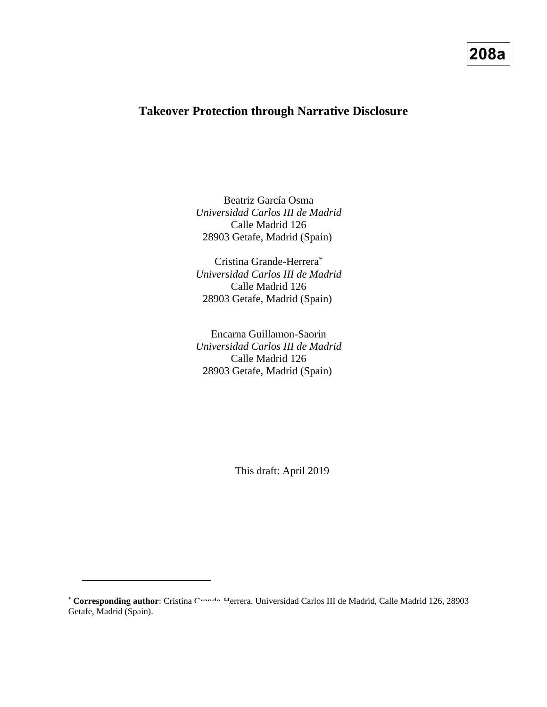# **208a**

# **Takeover Protection through Narrative Disclosure**

Beatriz García Osma *Universidad Carlos III de Madrid* Calle Madrid 126 28903 Getafe, Madrid (Spain)

Cristina Grande-Herrera<sup>\*</sup> *Universidad Carlos III de Madrid* Calle Madrid 126 28903 Getafe, Madrid (Spain)

Encarna Guillamon-Saorin *Universidad Carlos III de Madrid* Calle Madrid 126 28903 Getafe, Madrid (Spain)

This draft: April 2019

 $\overline{a}$ 

<sup>\*</sup> **Corresponding author**: Cristina Cross<sup>12</sup> Herrera. Universidad Carlos III de Madrid, Calle Madrid 126, 28903 Getafe, Madrid (Spain).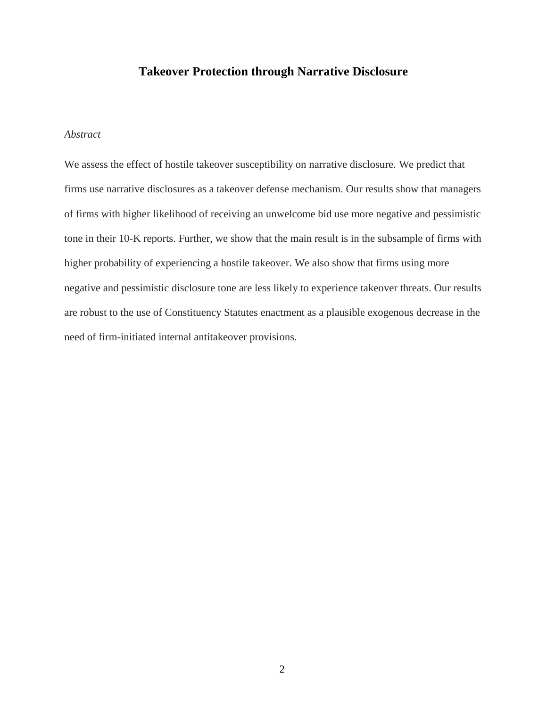# **Takeover Protection through Narrative Disclosure**

## *Abstract*

We assess the effect of hostile takeover susceptibility on narrative disclosure. We predict that firms use narrative disclosures as a takeover defense mechanism. Our results show that managers of firms with higher likelihood of receiving an unwelcome bid use more negative and pessimistic tone in their 10-K reports. Further, we show that the main result is in the subsample of firms with higher probability of experiencing a hostile takeover. We also show that firms using more negative and pessimistic disclosure tone are less likely to experience takeover threats. Our results are robust to the use of Constituency Statutes enactment as a plausible exogenous decrease in the need of firm-initiated internal antitakeover provisions.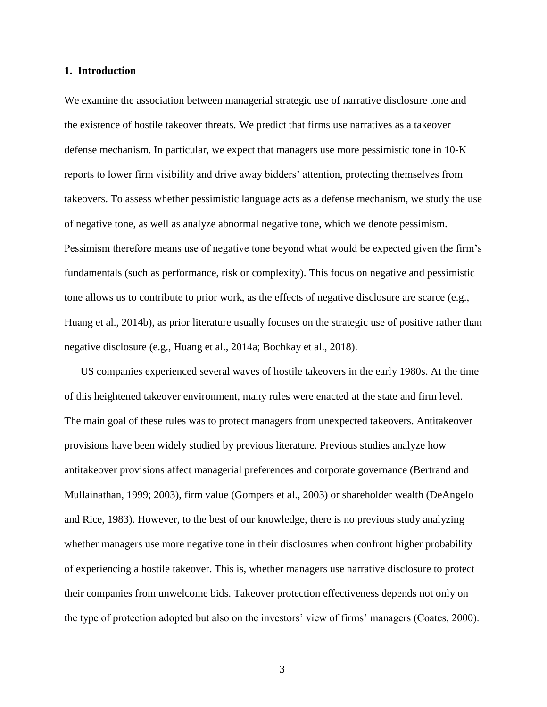#### **1. Introduction**

We examine the association between managerial strategic use of narrative disclosure tone and the existence of hostile takeover threats. We predict that firms use narratives as a takeover defense mechanism. In particular, we expect that managers use more pessimistic tone in 10-K reports to lower firm visibility and drive away bidders' attention, protecting themselves from takeovers. To assess whether pessimistic language acts as a defense mechanism, we study the use of negative tone, as well as analyze abnormal negative tone, which we denote pessimism. Pessimism therefore means use of negative tone beyond what would be expected given the firm's fundamentals (such as performance, risk or complexity). This focus on negative and pessimistic tone allows us to contribute to prior work, as the effects of negative disclosure are scarce (e.g., Huang et al., 2014b), as prior literature usually focuses on the strategic use of positive rather than negative disclosure (e.g., Huang et al., 2014a; Bochkay et al., 2018).

US companies experienced several waves of hostile takeovers in the early 1980s. At the time of this heightened takeover environment, many rules were enacted at the state and firm level. The main goal of these rules was to protect managers from unexpected takeovers. Antitakeover provisions have been widely studied by previous literature. Previous studies analyze how antitakeover provisions affect managerial preferences and corporate governance (Bertrand and Mullainathan, 1999; 2003), firm value (Gompers et al., 2003) or shareholder wealth (DeAngelo and Rice, 1983). However, to the best of our knowledge, there is no previous study analyzing whether managers use more negative tone in their disclosures when confront higher probability of experiencing a hostile takeover. This is, whether managers use narrative disclosure to protect their companies from unwelcome bids. Takeover protection effectiveness depends not only on the type of protection adopted but also on the investors' view of firms' managers (Coates, 2000).

3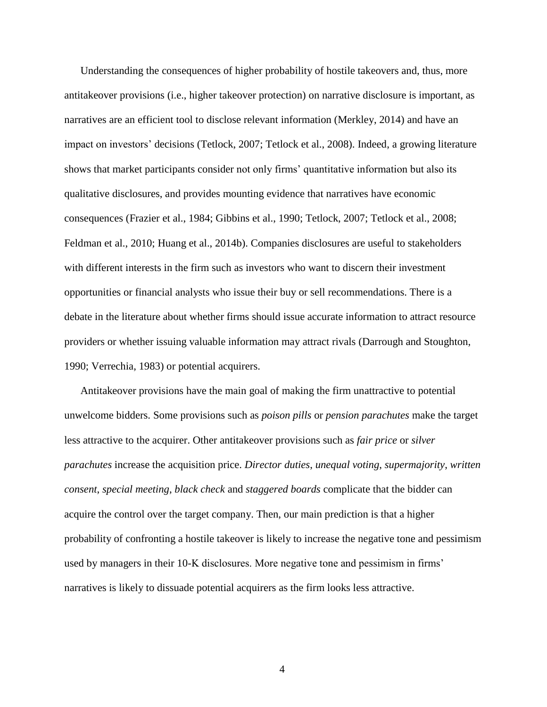Understanding the consequences of higher probability of hostile takeovers and, thus, more antitakeover provisions (i.e., higher takeover protection) on narrative disclosure is important, as narratives are an efficient tool to disclose relevant information (Merkley, 2014) and have an impact on investors' decisions (Tetlock, 2007; Tetlock et al., 2008). Indeed, a growing literature shows that market participants consider not only firms' quantitative information but also its qualitative disclosures, and provides mounting evidence that narratives have economic consequences (Frazier et al., 1984; Gibbins et al., 1990; Tetlock, 2007; Tetlock et al., 2008; Feldman et al., 2010; Huang et al., 2014b). Companies disclosures are useful to stakeholders with different interests in the firm such as investors who want to discern their investment opportunities or financial analysts who issue their buy or sell recommendations. There is a debate in the literature about whether firms should issue accurate information to attract resource providers or whether issuing valuable information may attract rivals (Darrough and Stoughton, 1990; Verrechia, 1983) or potential acquirers.

Antitakeover provisions have the main goal of making the firm unattractive to potential unwelcome bidders. Some provisions such as *poison pills* or *pension parachutes* make the target less attractive to the acquirer. Other antitakeover provisions such as *fair price* or *silver parachutes* increase the acquisition price. *Director duties*, *unequal voting*, *supermajority*, *written consent*, *special meeting*, *black check* and *staggered boards* complicate that the bidder can acquire the control over the target company. Then, our main prediction is that a higher probability of confronting a hostile takeover is likely to increase the negative tone and pessimism used by managers in their 10-K disclosures. More negative tone and pessimism in firms' narratives is likely to dissuade potential acquirers as the firm looks less attractive.

4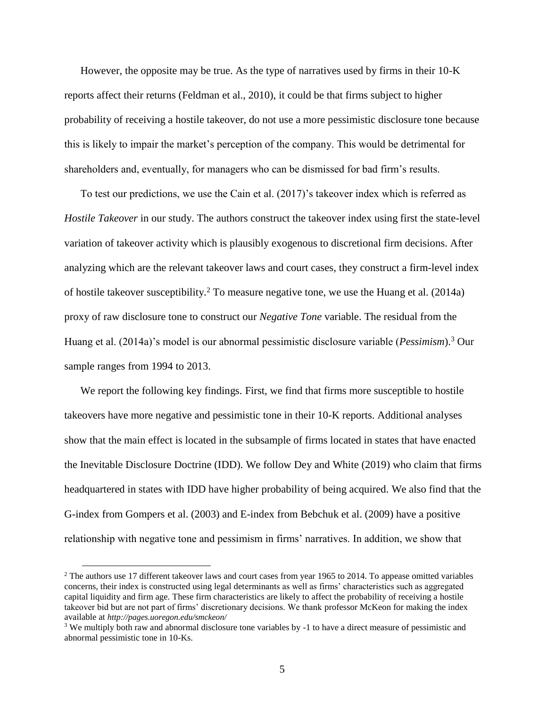However, the opposite may be true. As the type of narratives used by firms in their 10-K reports affect their returns (Feldman et al., 2010), it could be that firms subject to higher probability of receiving a hostile takeover, do not use a more pessimistic disclosure tone because this is likely to impair the market's perception of the company. This would be detrimental for shareholders and, eventually, for managers who can be dismissed for bad firm's results.

To test our predictions, we use the Cain et al. (2017)'s takeover index which is referred as *Hostile Takeover* in our study. The authors construct the takeover index using first the state-level variation of takeover activity which is plausibly exogenous to discretional firm decisions. After analyzing which are the relevant takeover laws and court cases, they construct a firm-level index of hostile takeover susceptibility.<sup>2</sup> To measure negative tone, we use the Huang et al. (2014a) proxy of raw disclosure tone to construct our *Negative Tone* variable. The residual from the Huang et al. (2014a)'s model is our abnormal pessimistic disclosure variable (*Pessimism*).<sup>3</sup> Our sample ranges from 1994 to 2013.

We report the following key findings. First, we find that firms more susceptible to hostile takeovers have more negative and pessimistic tone in their 10-K reports. Additional analyses show that the main effect is located in the subsample of firms located in states that have enacted the Inevitable Disclosure Doctrine (IDD). We follow Dey and White (2019) who claim that firms headquartered in states with IDD have higher probability of being acquired. We also find that the G-index from Gompers et al. (2003) and E-index from Bebchuk et al. (2009) have a positive relationship with negative tone and pessimism in firms' narratives. In addition, we show that

 $\overline{a}$ 

<sup>&</sup>lt;sup>2</sup> The authors use 17 different takeover laws and court cases from year 1965 to 2014. To appease omitted variables concerns, their index is constructed using legal determinants as well as firms' characteristics such as aggregated capital liquidity and firm age. These firm characteristics are likely to affect the probability of receiving a hostile takeover bid but are not part of firms' discretionary decisions. We thank professor McKeon for making the index available at *http://pages.uoregon.edu/smckeon/*

<sup>3</sup> We multiply both raw and abnormal disclosure tone variables by -1 to have a direct measure of pessimistic and abnormal pessimistic tone in 10-Ks.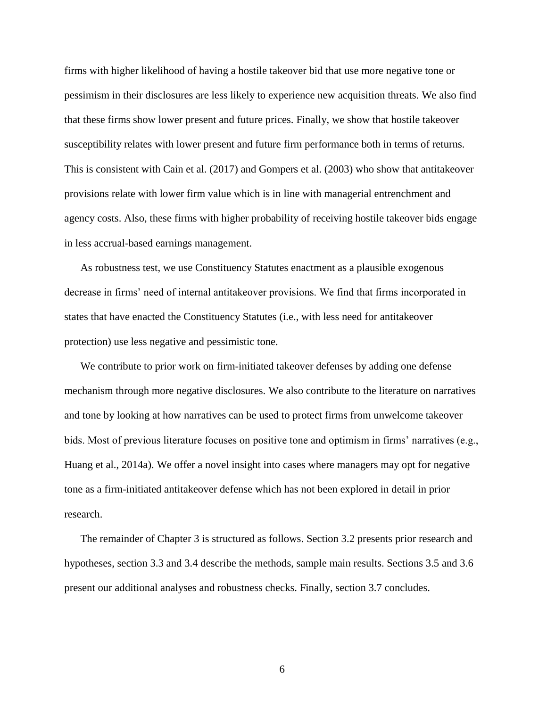firms with higher likelihood of having a hostile takeover bid that use more negative tone or pessimism in their disclosures are less likely to experience new acquisition threats. We also find that these firms show lower present and future prices. Finally, we show that hostile takeover susceptibility relates with lower present and future firm performance both in terms of returns. This is consistent with Cain et al. (2017) and Gompers et al. (2003) who show that antitakeover provisions relate with lower firm value which is in line with managerial entrenchment and agency costs. Also, these firms with higher probability of receiving hostile takeover bids engage in less accrual-based earnings management.

As robustness test, we use Constituency Statutes enactment as a plausible exogenous decrease in firms' need of internal antitakeover provisions. We find that firms incorporated in states that have enacted the Constituency Statutes (i.e., with less need for antitakeover protection) use less negative and pessimistic tone.

We contribute to prior work on firm-initiated takeover defenses by adding one defense mechanism through more negative disclosures. We also contribute to the literature on narratives and tone by looking at how narratives can be used to protect firms from unwelcome takeover bids. Most of previous literature focuses on positive tone and optimism in firms' narratives (e.g., Huang et al., 2014a). We offer a novel insight into cases where managers may opt for negative tone as a firm-initiated antitakeover defense which has not been explored in detail in prior research.

The remainder of Chapter 3 is structured as follows. Section 3.2 presents prior research and hypotheses, section 3.3 and 3.4 describe the methods, sample main results. Sections 3.5 and 3.6 present our additional analyses and robustness checks. Finally, section 3.7 concludes.

6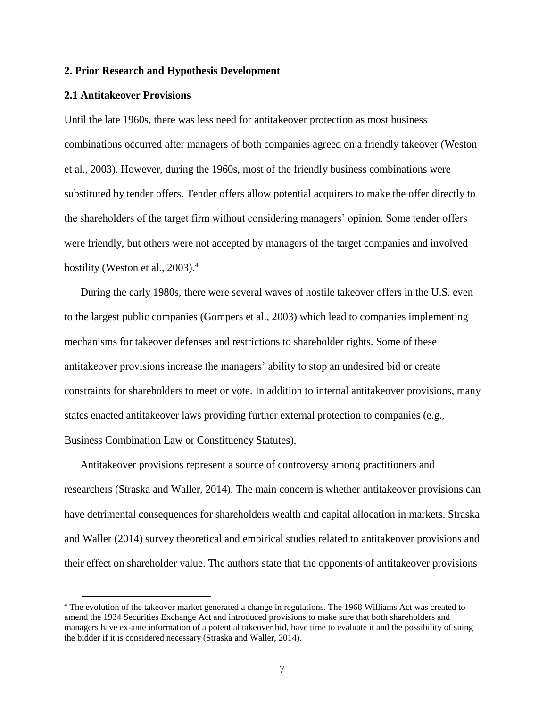#### **2. Prior Research and Hypothesis Development**

#### **2.1 Antitakeover Provisions**

 $\overline{a}$ 

Until the late 1960s, there was less need for antitakeover protection as most business combinations occurred after managers of both companies agreed on a friendly takeover (Weston et al., 2003). However, during the 1960s, most of the friendly business combinations were substituted by tender offers. Tender offers allow potential acquirers to make the offer directly to the shareholders of the target firm without considering managers' opinion. Some tender offers were friendly, but others were not accepted by managers of the target companies and involved hostility (Weston et al., 2003).<sup>4</sup>

During the early 1980s, there were several waves of hostile takeover offers in the U.S. even to the largest public companies (Gompers et al., 2003) which lead to companies implementing mechanisms for takeover defenses and restrictions to shareholder rights. Some of these antitakeover provisions increase the managers' ability to stop an undesired bid or create constraints for shareholders to meet or vote. In addition to internal antitakeover provisions, many states enacted antitakeover laws providing further external protection to companies (e.g., Business Combination Law or Constituency Statutes).

Antitakeover provisions represent a source of controversy among practitioners and researchers (Straska and Waller, 2014). The main concern is whether antitakeover provisions can have detrimental consequences for shareholders wealth and capital allocation in markets. Straska and Waller (2014) survey theoretical and empirical studies related to antitakeover provisions and their effect on shareholder value. The authors state that the opponents of antitakeover provisions

<sup>4</sup> The evolution of the takeover market generated a change in regulations. The 1968 Williams Act was created to amend the 1934 Securities Exchange Act and introduced provisions to make sure that both shareholders and managers have ex-ante information of a potential takeover bid, have time to evaluate it and the possibility of suing the bidder if it is considered necessary (Straska and Waller, 2014).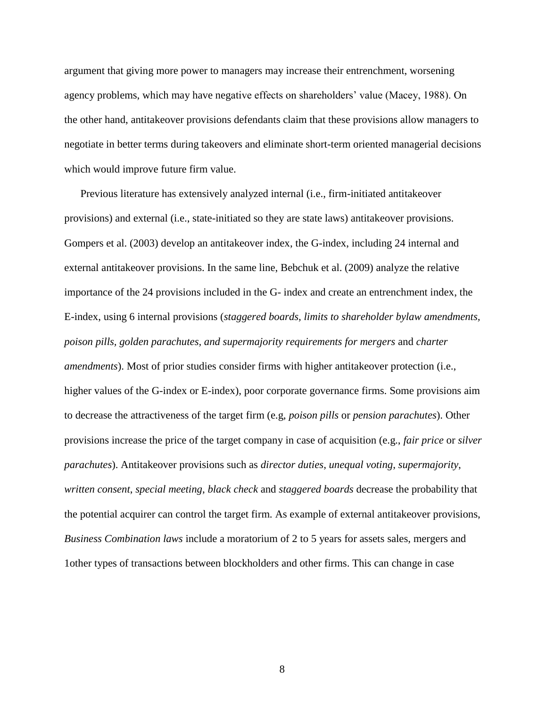argument that giving more power to managers may increase their entrenchment, worsening agency problems, which may have negative effects on shareholders' value (Macey, 1988). On the other hand, antitakeover provisions defendants claim that these provisions allow managers to negotiate in better terms during takeovers and eliminate short-term oriented managerial decisions which would improve future firm value.

Previous literature has extensively analyzed internal (i.e., firm-initiated antitakeover provisions) and external (i.e., state-initiated so they are state laws) antitakeover provisions. Gompers et al. (2003) develop an antitakeover index, the G-index, including 24 internal and external antitakeover provisions. In the same line, Bebchuk et al. (2009) analyze the relative importance of the 24 provisions included in the G- index and create an entrenchment index, the E-index, using 6 internal provisions (*staggered boards, limits to shareholder bylaw amendments, poison pills, golden parachutes, and supermajority requirements for mergers* and *charter amendments*). Most of prior studies consider firms with higher antitakeover protection (i.e., higher values of the G-index or E-index), poor corporate governance firms. Some provisions aim to decrease the attractiveness of the target firm (e.g, *poison pills* or *pension parachutes*). Other provisions increase the price of the target company in case of acquisition (e.g., *fair price* or *silver parachutes*). Antitakeover provisions such as *director duties*, *unequal voting*, *supermajority*, *written consent*, *special meeting*, *black check* and *staggered boards* decrease the probability that the potential acquirer can control the target firm. As example of external antitakeover provisions, *Business Combination laws* include a moratorium of 2 to 5 years for assets sales, mergers and 1other types of transactions between blockholders and other firms. This can change in case

8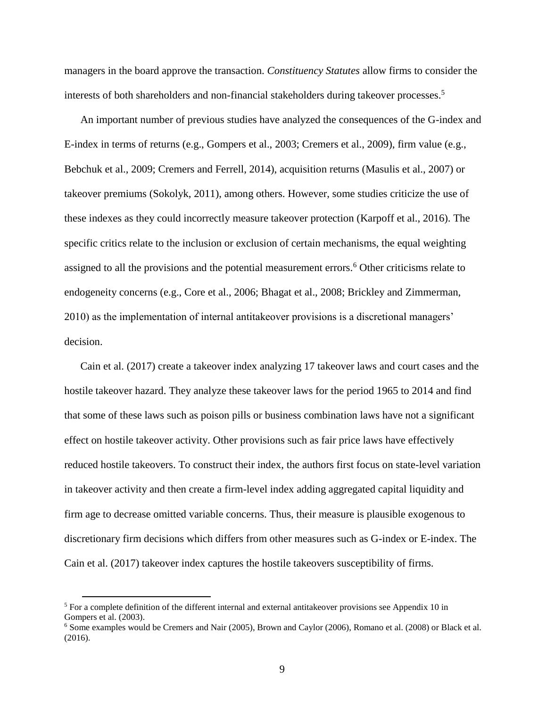managers in the board approve the transaction. *Constituency Statutes* allow firms to consider the interests of both shareholders and non-financial stakeholders during takeover processes.<sup>5</sup>

An important number of previous studies have analyzed the consequences of the G-index and E-index in terms of returns (e.g., Gompers et al., 2003; Cremers et al., 2009), firm value (e.g., Bebchuk et al., 2009; Cremers and Ferrell, 2014), acquisition returns (Masulis et al., 2007) or takeover premiums (Sokolyk, 2011), among others. However, some studies criticize the use of these indexes as they could incorrectly measure takeover protection (Karpoff et al., 2016). The specific critics relate to the inclusion or exclusion of certain mechanisms, the equal weighting assigned to all the provisions and the potential measurement errors.<sup>6</sup> Other criticisms relate to endogeneity concerns (e.g., Core et al., 2006; Bhagat et al., 2008; Brickley and Zimmerman, 2010) as the implementation of internal antitakeover provisions is a discretional managers' decision.

Cain et al. (2017) create a takeover index analyzing 17 takeover laws and court cases and the hostile takeover hazard. They analyze these takeover laws for the period 1965 to 2014 and find that some of these laws such as poison pills or business combination laws have not a significant effect on hostile takeover activity. Other provisions such as fair price laws have effectively reduced hostile takeovers. To construct their index, the authors first focus on state-level variation in takeover activity and then create a firm-level index adding aggregated capital liquidity and firm age to decrease omitted variable concerns. Thus, their measure is plausible exogenous to discretionary firm decisions which differs from other measures such as G-index or E-index. The Cain et al. (2017) takeover index captures the hostile takeovers susceptibility of firms.

 $\overline{a}$ 

<sup>5</sup> For a complete definition of the different internal and external antitakeover provisions see Appendix 10 in Gompers et al. (2003).

<sup>6</sup> Some examples would be Cremers and Nair (2005), Brown and Caylor (2006), Romano et al. (2008) or Black et al. (2016).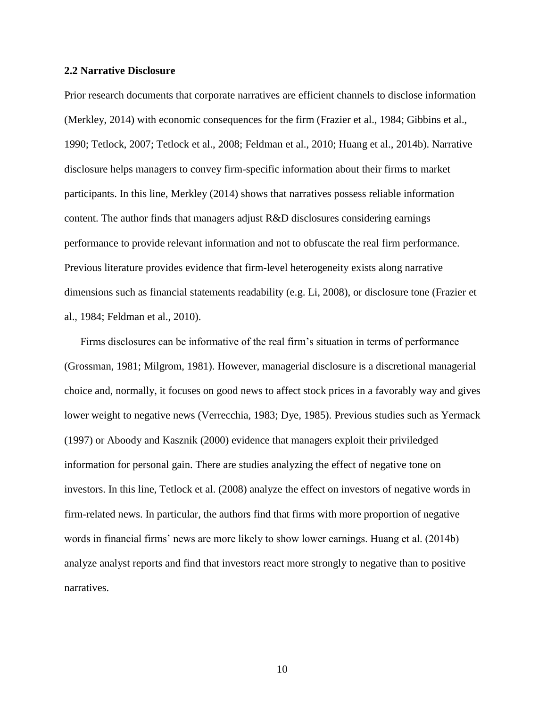#### **2.2 Narrative Disclosure**

Prior research documents that corporate narratives are efficient channels to disclose information (Merkley, 2014) with economic consequences for the firm (Frazier et al., 1984; Gibbins et al., 1990; Tetlock, 2007; Tetlock et al., 2008; Feldman et al., 2010; Huang et al., 2014b). Narrative disclosure helps managers to convey firm-specific information about their firms to market participants. In this line, Merkley (2014) shows that narratives possess reliable information content. The author finds that managers adjust R&D disclosures considering earnings performance to provide relevant information and not to obfuscate the real firm performance. Previous literature provides evidence that firm-level heterogeneity exists along narrative dimensions such as financial statements readability (e.g. Li, 2008), or disclosure tone (Frazier et al., 1984; Feldman et al., 2010).

Firms disclosures can be informative of the real firm's situation in terms of performance (Grossman, 1981; Milgrom, 1981). However, managerial disclosure is a discretional managerial choice and, normally, it focuses on good news to affect stock prices in a favorably way and gives lower weight to negative news (Verrecchia, 1983; Dye, 1985). Previous studies such as Yermack (1997) or Aboody and Kasznik (2000) evidence that managers exploit their priviledged information for personal gain. There are studies analyzing the effect of negative tone on investors. In this line, Tetlock et al. (2008) analyze the effect on investors of negative words in firm-related news. In particular, the authors find that firms with more proportion of negative words in financial firms' news are more likely to show lower earnings. Huang et al. (2014b) analyze analyst reports and find that investors react more strongly to negative than to positive narratives.

10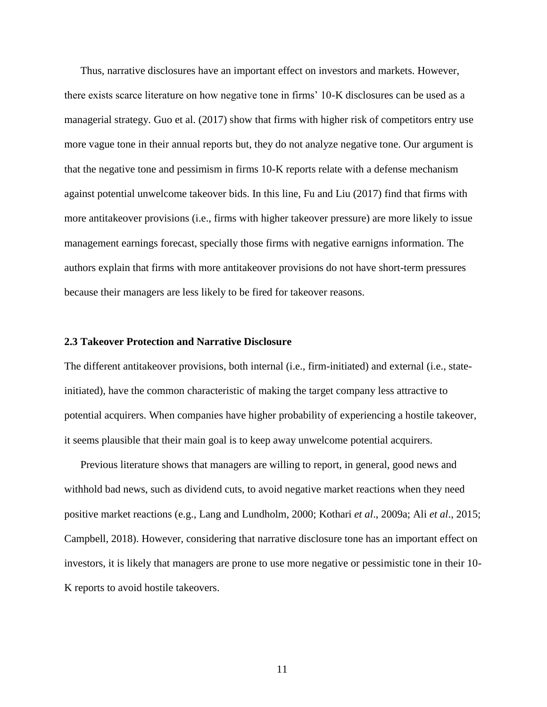Thus, narrative disclosures have an important effect on investors and markets. However, there exists scarce literature on how negative tone in firms' 10-K disclosures can be used as a managerial strategy. Guo et al. (2017) show that firms with higher risk of competitors entry use more vague tone in their annual reports but, they do not analyze negative tone. Our argument is that the negative tone and pessimism in firms 10-K reports relate with a defense mechanism against potential unwelcome takeover bids. In this line, Fu and Liu (2017) find that firms with more antitakeover provisions (i.e., firms with higher takeover pressure) are more likely to issue management earnings forecast, specially those firms with negative earnigns information. The authors explain that firms with more antitakeover provisions do not have short-term pressures because their managers are less likely to be fired for takeover reasons.

### **2.3 Takeover Protection and Narrative Disclosure**

The different antitakeover provisions, both internal (i.e., firm-initiated) and external (i.e., stateinitiated), have the common characteristic of making the target company less attractive to potential acquirers. When companies have higher probability of experiencing a hostile takeover, it seems plausible that their main goal is to keep away unwelcome potential acquirers.

Previous literature shows that managers are willing to report, in general, good news and withhold bad news, such as dividend cuts, to avoid negative market reactions when they need positive market reactions (e.g., Lang and Lundholm, 2000; Kothari *et al*., 2009a; Ali *et al*., 2015; Campbell, 2018). However, considering that narrative disclosure tone has an important effect on investors, it is likely that managers are prone to use more negative or pessimistic tone in their 10- K reports to avoid hostile takeovers.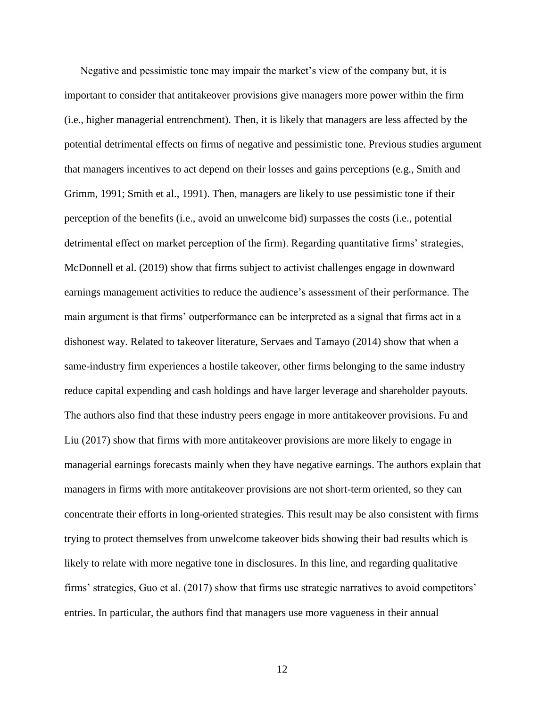Negative and pessimistic tone may impair the market's view of the company but, it is important to consider that antitakeover provisions give managers more power within the firm (i.e., higher managerial entrenchment). Then, it is likely that managers are less affected by the potential detrimental effects on firms of negative and pessimistic tone. Previous studies argument that managers incentives to act depend on their losses and gains perceptions (e.g., Smith and Grimm, 1991; Smith et al., 1991). Then, managers are likely to use pessimistic tone if their perception of the benefits (i.e., avoid an unwelcome bid) surpasses the costs (i.e., potential detrimental effect on market perception of the firm). Regarding quantitative firms' strategies, McDonnell et al. (2019) show that firms subject to activist challenges engage in downward earnings management activities to reduce the audience's assessment of their performance. The main argument is that firms' outperformance can be interpreted as a signal that firms act in a dishonest way. Related to takeover literature, Servaes and Tamayo (2014) show that when a same-industry firm experiences a hostile takeover, other firms belonging to the same industry reduce capital expending and cash holdings and have larger leverage and shareholder payouts. The authors also find that these industry peers engage in more antitakeover provisions. Fu and Liu (2017) show that firms with more antitakeover provisions are more likely to engage in managerial earnings forecasts mainly when they have negative earnings. The authors explain that managers in firms with more antitakeover provisions are not short-term oriented, so they can concentrate their efforts in long-oriented strategies. This result may be also consistent with firms trying to protect themselves from unwelcome takeover bids showing their bad results which is likely to relate with more negative tone in disclosures. In this line, and regarding qualitative firms' strategies, Guo et al. (2017) show that firms use strategic narratives to avoid competitors' entries. In particular, the authors find that managers use more vagueness in their annual

12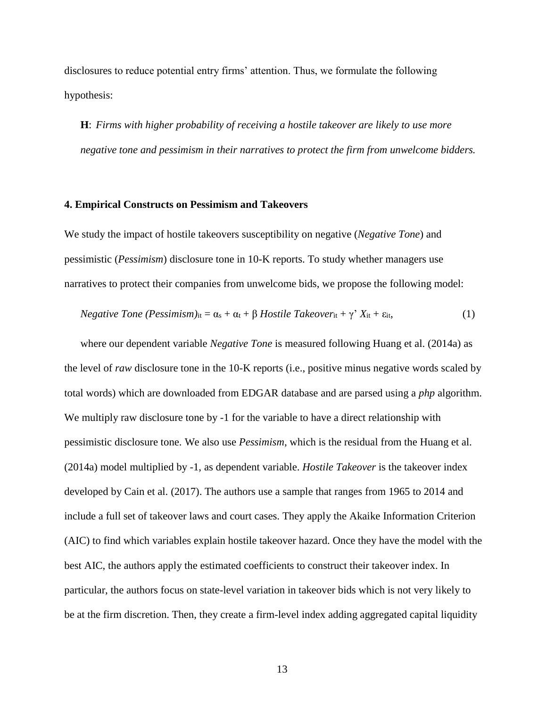disclosures to reduce potential entry firms' attention. Thus, we formulate the following hypothesis:

**H**: *Firms with higher probability of receiving a hostile takeover are likely to use more negative tone and pessimism in their narratives to protect the firm from unwelcome bidders.* 

#### **4. Empirical Constructs on Pessimism and Takeovers**

We study the impact of hostile takeovers susceptibility on negative (*Negative Tone*) and pessimistic (*Pessimism*) disclosure tone in 10-K reports. To study whether managers use narratives to protect their companies from unwelcome bids, we propose the following model:

Negative *Tone* (*Pessimism*)<sub>it</sub> = 
$$
\alpha_s + \alpha_t + \beta
$$
 *Hostile Takeover*  $t + \gamma' X_{it} + \varepsilon_{it}$ , (1)

where our dependent variable *Negative Tone* is measured following Huang et al. (2014a) as the level of *raw* disclosure tone in the 10-K reports (i.e., positive minus negative words scaled by total words) which are downloaded from EDGAR database and are parsed using a *php* algorithm. We multiply raw disclosure tone by -1 for the variable to have a direct relationship with pessimistic disclosure tone. We also use *Pessimism*, which is the residual from the Huang et al. (2014a) model multiplied by -1, as dependent variable. *Hostile Takeover* is the takeover index developed by Cain et al. (2017). The authors use a sample that ranges from 1965 to 2014 and include a full set of takeover laws and court cases. They apply the Akaike Information Criterion (AIC) to find which variables explain hostile takeover hazard. Once they have the model with the best AIC, the authors apply the estimated coefficients to construct their takeover index. In particular, the authors focus on state-level variation in takeover bids which is not very likely to be at the firm discretion. Then, they create a firm-level index adding aggregated capital liquidity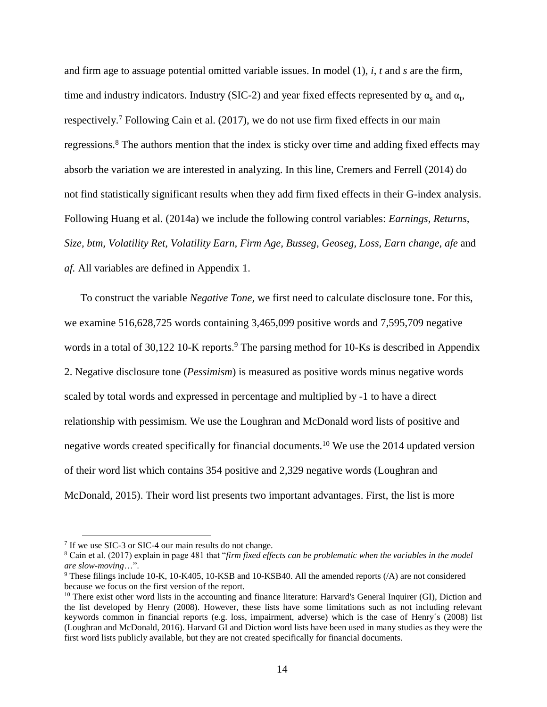and firm age to assuage potential omitted variable issues. In model (1), *i*, *t* and *s* are the firm, time and industry indicators. Industry (SIC-2) and year fixed effects represented by  $\alpha_s$  and  $\alpha_t$ , respectively.<sup>7</sup> Following Cain et al. (2017), we do not use firm fixed effects in our main regressions.<sup>8</sup> The authors mention that the index is sticky over time and adding fixed effects may absorb the variation we are interested in analyzing. In this line, Cremers and Ferrell (2014) do not find statistically significant results when they add firm fixed effects in their G-index analysis. Following Huang et al. (2014a) we include the following control variables: *Earnings, Returns, Size, btm, Volatility Ret, Volatility Earn, Firm Age, Busseg*, *Geoseg, Loss, Earn change, afe* and *af.* All variables are defined in Appendix 1.

To construct the variable *Negative Tone,* we first need to calculate disclosure tone. For this, we examine 516,628,725 words containing 3,465,099 positive words and 7,595,709 negative words in a total of 30,122 10-K reports.<sup>9</sup> The parsing method for 10-Ks is described in Appendix 2. Negative disclosure tone (*Pessimism*) is measured as positive words minus negative words scaled by total words and expressed in percentage and multiplied by -1 to have a direct relationship with pessimism. We use the Loughran and McDonald word lists of positive and negative words created specifically for financial documents.<sup>10</sup> We use the 2014 updated version of their word list which contains 354 positive and 2,329 negative words (Loughran and McDonald, 2015). Their word list presents two important advantages. First, the list is more

 $\overline{a}$ 

<sup>&</sup>lt;sup>7</sup> If we use SIC-3 or SIC-4 our main results do not change.

<sup>8</sup> Cain et al. (2017) explain in page 481 that "*firm fixed effects can be problematic when the variables in the model are slow-moving*…".

<sup>9</sup> These filings include 10-K, 10-K405, 10-KSB and 10-KSB40. All the amended reports (/A) are not considered because we focus on the first version of the report.

<sup>&</sup>lt;sup>10</sup> There exist other word lists in the accounting and finance literature: Harvard's General Inquirer (GI), Diction and the list developed by Henry (2008). However, these lists have some limitations such as not including relevant keywords common in financial reports (e.g. loss, impairment, adverse) which is the case of Henry´s (2008) list (Loughran and McDonald, 2016). Harvard GI and Diction word lists have been used in many studies as they were the first word lists publicly available, but they are not created specifically for financial documents.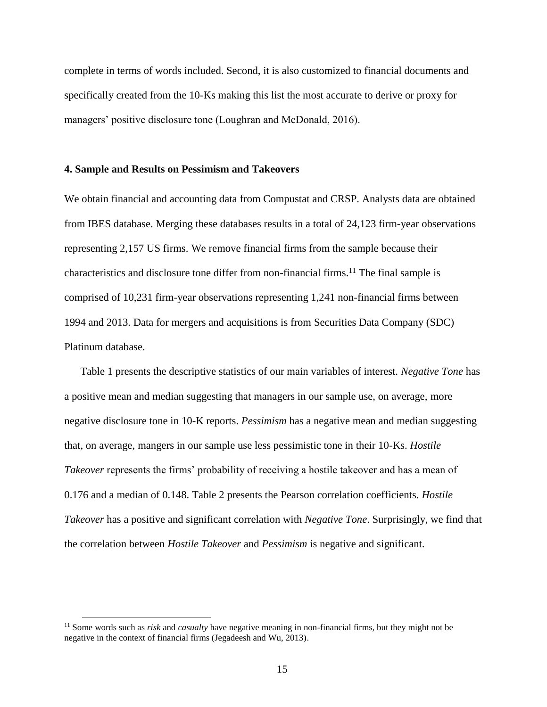complete in terms of words included. Second, it is also customized to financial documents and specifically created from the 10-Ks making this list the most accurate to derive or proxy for managers' positive disclosure tone (Loughran and McDonald, 2016).

#### **4. Sample and Results on Pessimism and Takeovers**

We obtain financial and accounting data from Compustat and CRSP. Analysts data are obtained from IBES database. Merging these databases results in a total of 24,123 firm-year observations representing 2,157 US firms. We remove financial firms from the sample because their characteristics and disclosure tone differ from non-financial firms. <sup>11</sup> The final sample is comprised of 10,231 firm-year observations representing 1,241 non-financial firms between 1994 and 2013. Data for mergers and acquisitions is from Securities Data Company (SDC) Platinum database.

Table 1 presents the descriptive statistics of our main variables of interest. *Negative Tone* has a positive mean and median suggesting that managers in our sample use, on average, more negative disclosure tone in 10-K reports. *Pessimism* has a negative mean and median suggesting that, on average, mangers in our sample use less pessimistic tone in their 10-Ks. *Hostile Takeover* represents the firms' probability of receiving a hostile takeover and has a mean of 0.176 and a median of 0.148. Table 2 presents the Pearson correlation coefficients. *Hostile Takeover* has a positive and significant correlation with *Negative Tone*. Surprisingly, we find that the correlation between *Hostile Takeover* and *Pessimism* is negative and significant.

 $\overline{a}$ 

<sup>11</sup> Some words such as *risk* and *casualty* have negative meaning in non-financial firms, but they might not be negative in the context of financial firms (Jegadeesh and Wu, 2013).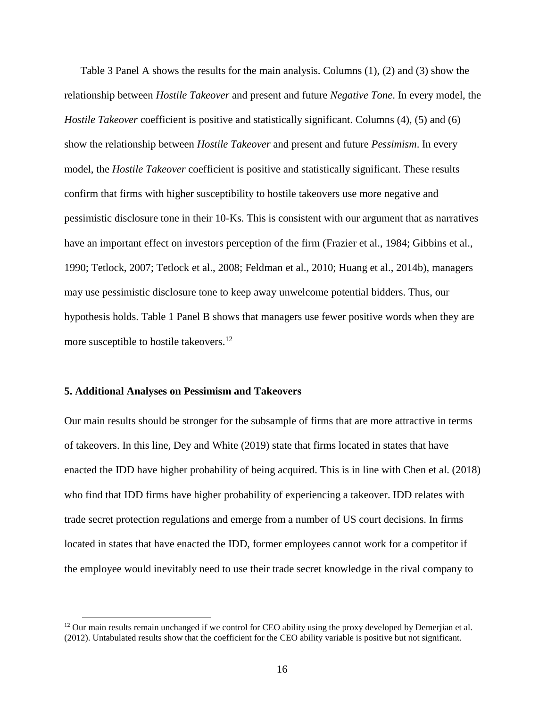Table 3 Panel A shows the results for the main analysis. Columns (1), (2) and (3) show the relationship between *Hostile Takeover* and present and future *Negative Tone*. In every model, the *Hostile Takeover* coefficient is positive and statistically significant. Columns (4), (5) and (6) show the relationship between *Hostile Takeover* and present and future *Pessimism*. In every model, the *Hostile Takeover* coefficient is positive and statistically significant. These results confirm that firms with higher susceptibility to hostile takeovers use more negative and pessimistic disclosure tone in their 10-Ks. This is consistent with our argument that as narratives have an important effect on investors perception of the firm (Frazier et al., 1984; Gibbins et al., 1990; Tetlock, 2007; Tetlock et al., 2008; Feldman et al., 2010; Huang et al., 2014b), managers may use pessimistic disclosure tone to keep away unwelcome potential bidders. Thus, our hypothesis holds. Table 1 Panel B shows that managers use fewer positive words when they are more susceptible to hostile takeovers.<sup>12</sup>

#### **5. Additional Analyses on Pessimism and Takeovers**

 $\overline{a}$ 

Our main results should be stronger for the subsample of firms that are more attractive in terms of takeovers. In this line, Dey and White (2019) state that firms located in states that have enacted the IDD have higher probability of being acquired. This is in line with Chen et al. (2018) who find that IDD firms have higher probability of experiencing a takeover. IDD relates with trade secret protection regulations and emerge from a number of US court decisions. In firms located in states that have enacted the IDD, former employees cannot work for a competitor if the employee would inevitably need to use their trade secret knowledge in the rival company to

<sup>&</sup>lt;sup>12</sup> Our main results remain unchanged if we control for CEO ability using the proxy developed by Demerjian et al. (2012). Untabulated results show that the coefficient for the CEO ability variable is positive but not significant.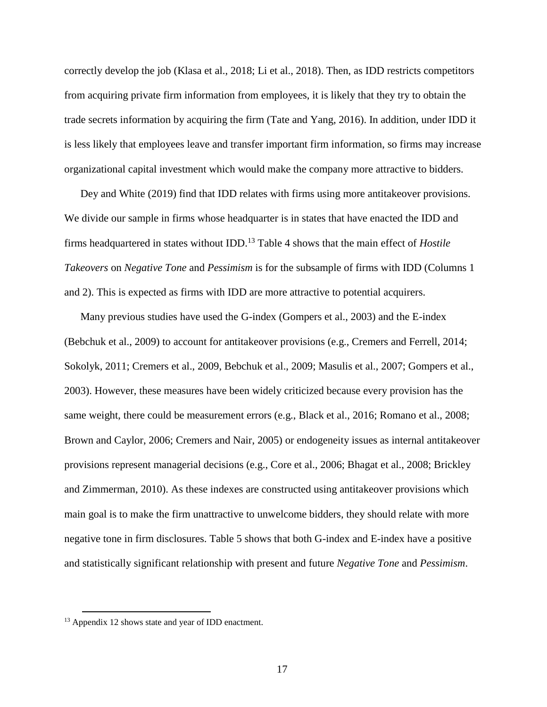correctly develop the job (Klasa et al., 2018; Li et al., 2018). Then, as IDD restricts competitors from acquiring private firm information from employees, it is likely that they try to obtain the trade secrets information by acquiring the firm (Tate and Yang, 2016). In addition, under IDD it is less likely that employees leave and transfer important firm information, so firms may increase organizational capital investment which would make the company more attractive to bidders.

Dey and White (2019) find that IDD relates with firms using more antitakeover provisions. We divide our sample in firms whose headquarter is in states that have enacted the IDD and firms headquartered in states without IDD.<sup>13</sup> Table 4 shows that the main effect of *Hostile Takeovers* on *Negative Tone* and *Pessimism* is for the subsample of firms with IDD (Columns 1 and 2). This is expected as firms with IDD are more attractive to potential acquirers.

Many previous studies have used the G-index (Gompers et al., 2003) and the E-index (Bebchuk et al., 2009) to account for antitakeover provisions (e.g., Cremers and Ferrell, 2014; Sokolyk, 2011; Cremers et al., 2009, Bebchuk et al., 2009; Masulis et al., 2007; Gompers et al., 2003). However, these measures have been widely criticized because every provision has the same weight, there could be measurement errors (e.g., Black et al., 2016; Romano et al., 2008; Brown and Caylor, 2006; Cremers and Nair, 2005) or endogeneity issues as internal antitakeover provisions represent managerial decisions (e.g., Core et al., 2006; Bhagat et al., 2008; Brickley and Zimmerman, 2010). As these indexes are constructed using antitakeover provisions which main goal is to make the firm unattractive to unwelcome bidders, they should relate with more negative tone in firm disclosures. Table 5 shows that both G-index and E-index have a positive and statistically significant relationship with present and future *Negative Tone* and *Pessimism*.

 $\overline{a}$ 

<sup>&</sup>lt;sup>13</sup> Appendix 12 shows state and year of IDD enactment.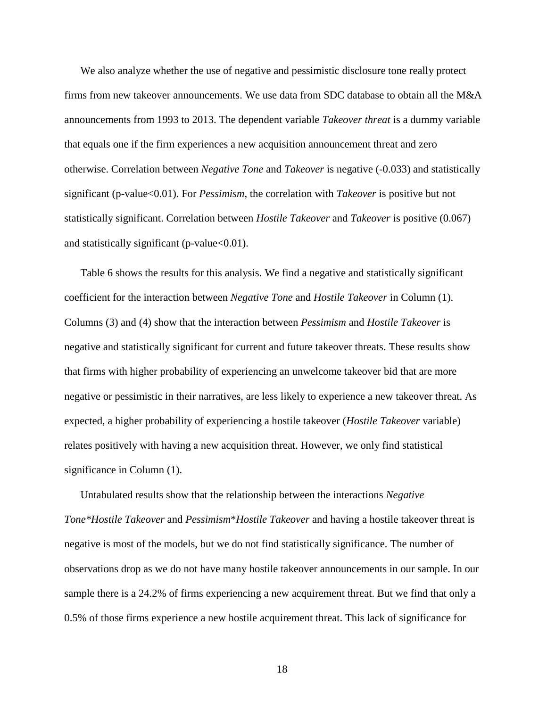We also analyze whether the use of negative and pessimistic disclosure tone really protect firms from new takeover announcements. We use data from SDC database to obtain all the M&A announcements from 1993 to 2013. The dependent variable *Takeover threat* is a dummy variable that equals one if the firm experiences a new acquisition announcement threat and zero otherwise. Correlation between *Negative Tone* and *Takeover* is negative (-0.033) and statistically significant (p-value<0.01). For *Pessimism*, the correlation with *Takeover* is positive but not statistically significant. Correlation between *Hostile Takeover* and *Takeover* is positive (0.067) and statistically significant (p-value<0.01).

Table 6 shows the results for this analysis. We find a negative and statistically significant coefficient for the interaction between *Negative Tone* and *Hostile Takeover* in Column (1). Columns (3) and (4) show that the interaction between *Pessimism* and *Hostile Takeover* is negative and statistically significant for current and future takeover threats. These results show that firms with higher probability of experiencing an unwelcome takeover bid that are more negative or pessimistic in their narratives, are less likely to experience a new takeover threat. As expected, a higher probability of experiencing a hostile takeover (*Hostile Takeover* variable) relates positively with having a new acquisition threat. However, we only find statistical significance in Column (1).

Untabulated results show that the relationship between the interactions *Negative Tone\*Hostile Takeover* and *Pessimism*\**Hostile Takeover* and having a hostile takeover threat is negative is most of the models, but we do not find statistically significance. The number of observations drop as we do not have many hostile takeover announcements in our sample. In our sample there is a 24.2% of firms experiencing a new acquirement threat. But we find that only a 0.5% of those firms experience a new hostile acquirement threat. This lack of significance for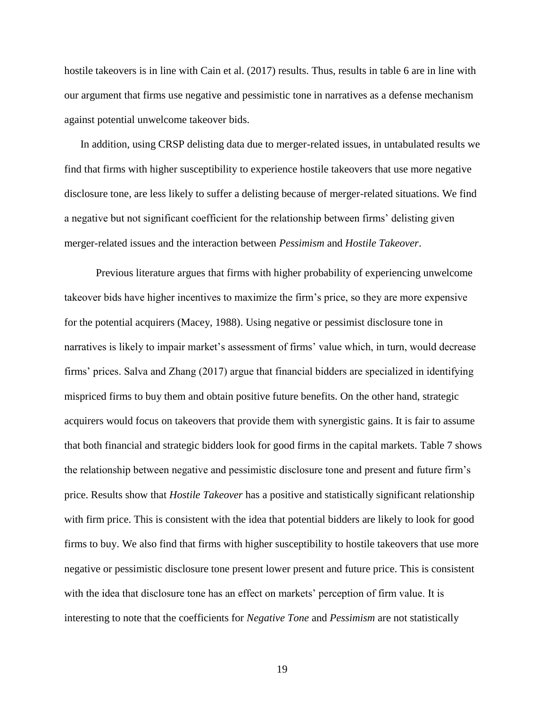hostile takeovers is in line with Cain et al. (2017) results. Thus, results in table 6 are in line with our argument that firms use negative and pessimistic tone in narratives as a defense mechanism against potential unwelcome takeover bids.

In addition, using CRSP delisting data due to merger-related issues, in untabulated results we find that firms with higher susceptibility to experience hostile takeovers that use more negative disclosure tone, are less likely to suffer a delisting because of merger-related situations. We find a negative but not significant coefficient for the relationship between firms' delisting given merger-related issues and the interaction between *Pessimism* and *Hostile Takeover*.

Previous literature argues that firms with higher probability of experiencing unwelcome takeover bids have higher incentives to maximize the firm's price, so they are more expensive for the potential acquirers (Macey, 1988). Using negative or pessimist disclosure tone in narratives is likely to impair market's assessment of firms' value which, in turn, would decrease firms' prices. Salva and Zhang (2017) argue that financial bidders are specialized in identifying mispriced firms to buy them and obtain positive future benefits. On the other hand, strategic acquirers would focus on takeovers that provide them with synergistic gains. It is fair to assume that both financial and strategic bidders look for good firms in the capital markets. Table 7 shows the relationship between negative and pessimistic disclosure tone and present and future firm's price. Results show that *Hostile Takeover* has a positive and statistically significant relationship with firm price. This is consistent with the idea that potential bidders are likely to look for good firms to buy. We also find that firms with higher susceptibility to hostile takeovers that use more negative or pessimistic disclosure tone present lower present and future price. This is consistent with the idea that disclosure tone has an effect on markets' perception of firm value. It is interesting to note that the coefficients for *Negative Tone* and *Pessimism* are not statistically

19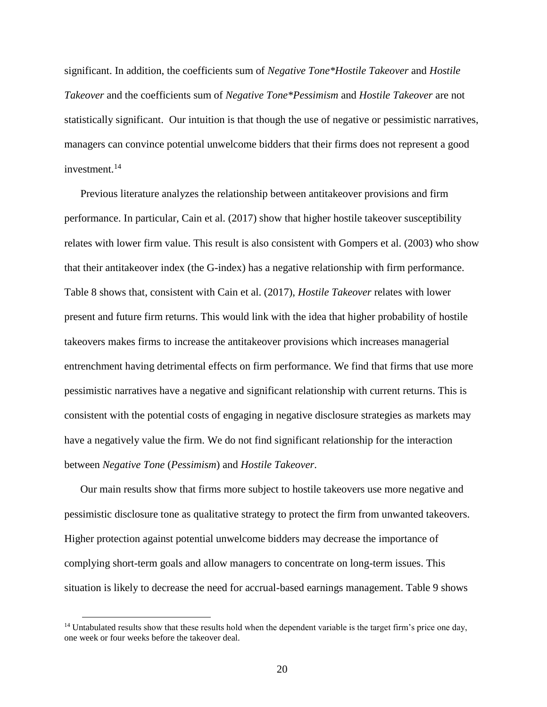significant. In addition, the coefficients sum of *Negative Tone\*Hostile Takeover* and *Hostile Takeover* and the coefficients sum of *Negative Tone\*Pessimism* and *Hostile Takeover* are not statistically significant. Our intuition is that though the use of negative or pessimistic narratives, managers can convince potential unwelcome bidders that their firms does not represent a good investment.<sup>14</sup>

Previous literature analyzes the relationship between antitakeover provisions and firm performance. In particular, Cain et al. (2017) show that higher hostile takeover susceptibility relates with lower firm value. This result is also consistent with Gompers et al. (2003) who show that their antitakeover index (the G-index) has a negative relationship with firm performance. Table 8 shows that, consistent with Cain et al. (2017), *Hostile Takeover* relates with lower present and future firm returns. This would link with the idea that higher probability of hostile takeovers makes firms to increase the antitakeover provisions which increases managerial entrenchment having detrimental effects on firm performance. We find that firms that use more pessimistic narratives have a negative and significant relationship with current returns. This is consistent with the potential costs of engaging in negative disclosure strategies as markets may have a negatively value the firm. We do not find significant relationship for the interaction between *Negative Tone* (*Pessimism*) and *Hostile Takeover*.

Our main results show that firms more subject to hostile takeovers use more negative and pessimistic disclosure tone as qualitative strategy to protect the firm from unwanted takeovers. Higher protection against potential unwelcome bidders may decrease the importance of complying short-term goals and allow managers to concentrate on long-term issues. This situation is likely to decrease the need for accrual-based earnings management. Table 9 shows

 $\overline{a}$ 

<sup>&</sup>lt;sup>14</sup> Untabulated results show that these results hold when the dependent variable is the target firm's price one day, one week or four weeks before the takeover deal.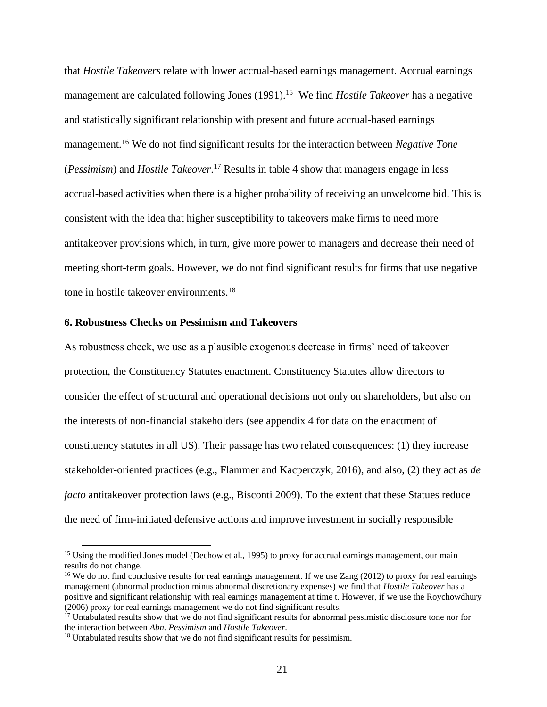that *Hostile Takeovers* relate with lower accrual-based earnings management. Accrual earnings management are calculated following Jones (1991).<sup>15</sup> We find *Hostile Takeover* has a negative and statistically significant relationship with present and future accrual-based earnings management.<sup>16</sup> We do not find significant results for the interaction between *Negative Tone* (*Pessimism*) and *Hostile Takeover*. <sup>17</sup> Results in table 4 show that managers engage in less accrual-based activities when there is a higher probability of receiving an unwelcome bid. This is consistent with the idea that higher susceptibility to takeovers make firms to need more antitakeover provisions which, in turn, give more power to managers and decrease their need of meeting short-term goals. However, we do not find significant results for firms that use negative tone in hostile takeover environments.<sup>18</sup>

#### **6. Robustness Checks on Pessimism and Takeovers**

 $\overline{a}$ 

As robustness check, we use as a plausible exogenous decrease in firms' need of takeover protection, the Constituency Statutes enactment. Constituency Statutes allow directors to consider the effect of structural and operational decisions not only on shareholders, but also on the interests of non-financial stakeholders (see appendix 4 for data on the enactment of constituency statutes in all US). Their passage has two related consequences: (1) they increase stakeholder-oriented practices (e.g., Flammer and Kacperczyk, 2016), and also, (2) they act as *de facto* antitakeover protection laws (e.g., Bisconti 2009). To the extent that these Statues reduce the need of firm-initiated defensive actions and improve investment in socially responsible

<sup>&</sup>lt;sup>15</sup> Using the modified Jones model (Dechow et al., 1995) to proxy for accrual earnings management, our main results do not change.

<sup>&</sup>lt;sup>16</sup> We do not find conclusive results for real earnings management. If we use Zang (2012) to proxy for real earnings management (abnormal production minus abnormal discretionary expenses) we find that *Hostile Takeover* has a positive and significant relationship with real earnings management at time t. However, if we use the Roychowdhury (2006) proxy for real earnings management we do not find significant results.

<sup>&</sup>lt;sup>17</sup> Untabulated results show that we do not find significant results for abnormal pessimistic disclosure tone nor for the interaction between *Abn. Pessimism* and *Hostile Takeover*.

<sup>&</sup>lt;sup>18</sup> Untabulated results show that we do not find significant results for pessimism.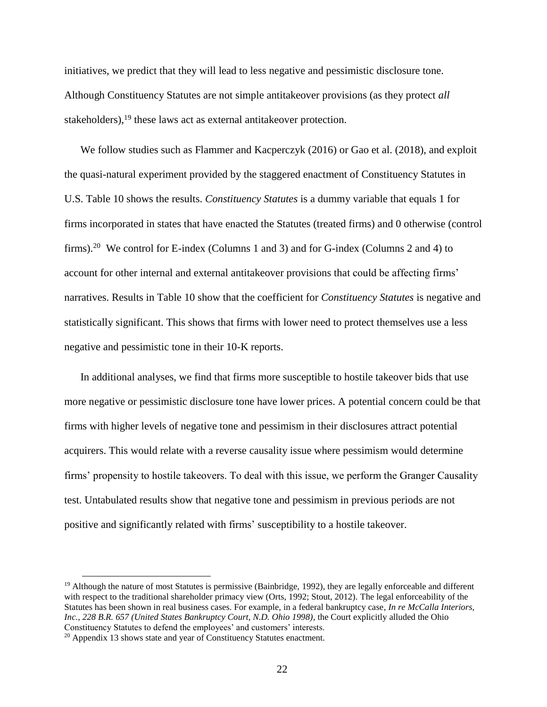initiatives, we predict that they will lead to less negative and pessimistic disclosure tone. Although Constituency Statutes are not simple antitakeover provisions (as they protect *all* stakeholders),<sup>19</sup> these laws act as external antitakeover protection.

We follow studies such as Flammer and Kacperczyk (2016) or Gao et al. (2018), and exploit the quasi-natural experiment provided by the staggered enactment of Constituency Statutes in U.S. Table 10 shows the results. *Constituency Statutes* is a dummy variable that equals 1 for firms incorporated in states that have enacted the Statutes (treated firms) and 0 otherwise (control firms).<sup>20</sup> We control for E-index (Columns 1 and 3) and for G-index (Columns 2 and 4) to account for other internal and external antitakeover provisions that could be affecting firms' narratives. Results in Table 10 show that the coefficient for *Constituency Statutes* is negative and statistically significant. This shows that firms with lower need to protect themselves use a less negative and pessimistic tone in their 10-K reports.

In additional analyses, we find that firms more susceptible to hostile takeover bids that use more negative or pessimistic disclosure tone have lower prices. A potential concern could be that firms with higher levels of negative tone and pessimism in their disclosures attract potential acquirers. This would relate with a reverse causality issue where pessimism would determine firms' propensity to hostile takeovers. To deal with this issue, we perform the Granger Causality test. Untabulated results show that negative tone and pessimism in previous periods are not positive and significantly related with firms' susceptibility to a hostile takeover.

 $\overline{a}$ 

 $19$  Although the nature of most Statutes is permissive (Bainbridge, 1992), they are legally enforceable and different with respect to the traditional shareholder primacy view (Orts, 1992; Stout, 2012). The legal enforceability of the Statutes has been shown in real business cases. For example, in a federal bankruptcy case, *In re McCalla Interiors, Inc., 228 B.R. 657 (United States Bankruptcy Court, N.D. Ohio 1998)*, the Court explicitly alluded the Ohio Constituency Statutes to defend the employees' and customers' interests.

<sup>&</sup>lt;sup>20</sup> Appendix 13 shows state and year of Constituency Statutes enactment.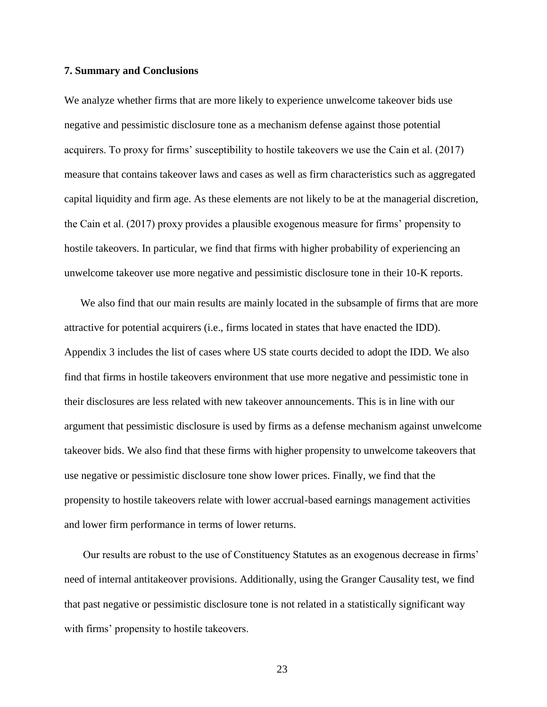#### **7. Summary and Conclusions**

We analyze whether firms that are more likely to experience unwelcome takeover bids use negative and pessimistic disclosure tone as a mechanism defense against those potential acquirers. To proxy for firms' susceptibility to hostile takeovers we use the Cain et al. (2017) measure that contains takeover laws and cases as well as firm characteristics such as aggregated capital liquidity and firm age. As these elements are not likely to be at the managerial discretion, the Cain et al. (2017) proxy provides a plausible exogenous measure for firms' propensity to hostile takeovers. In particular, we find that firms with higher probability of experiencing an unwelcome takeover use more negative and pessimistic disclosure tone in their 10-K reports.

We also find that our main results are mainly located in the subsample of firms that are more attractive for potential acquirers (i.e., firms located in states that have enacted the IDD). Appendix 3 includes the list of cases where US state courts decided to adopt the IDD. We also find that firms in hostile takeovers environment that use more negative and pessimistic tone in their disclosures are less related with new takeover announcements. This is in line with our argument that pessimistic disclosure is used by firms as a defense mechanism against unwelcome takeover bids. We also find that these firms with higher propensity to unwelcome takeovers that use negative or pessimistic disclosure tone show lower prices. Finally, we find that the propensity to hostile takeovers relate with lower accrual-based earnings management activities and lower firm performance in terms of lower returns.

Our results are robust to the use of Constituency Statutes as an exogenous decrease in firms' need of internal antitakeover provisions. Additionally, using the Granger Causality test, we find that past negative or pessimistic disclosure tone is not related in a statistically significant way with firms' propensity to hostile takeovers.

23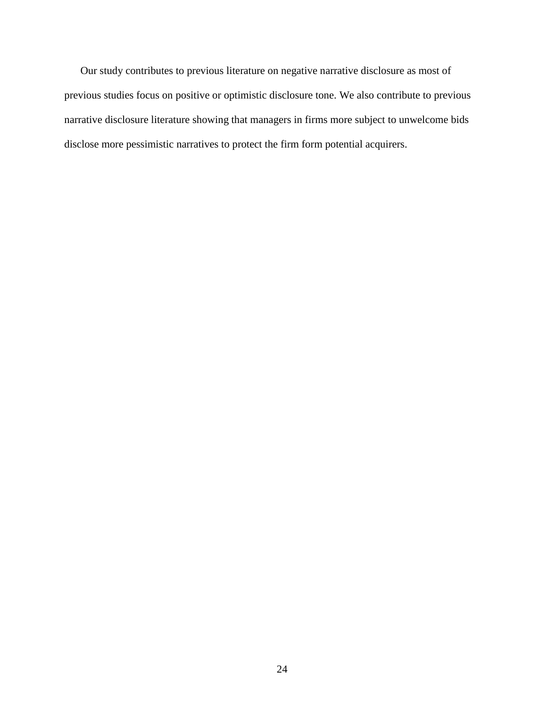Our study contributes to previous literature on negative narrative disclosure as most of previous studies focus on positive or optimistic disclosure tone. We also contribute to previous narrative disclosure literature showing that managers in firms more subject to unwelcome bids disclose more pessimistic narratives to protect the firm form potential acquirers.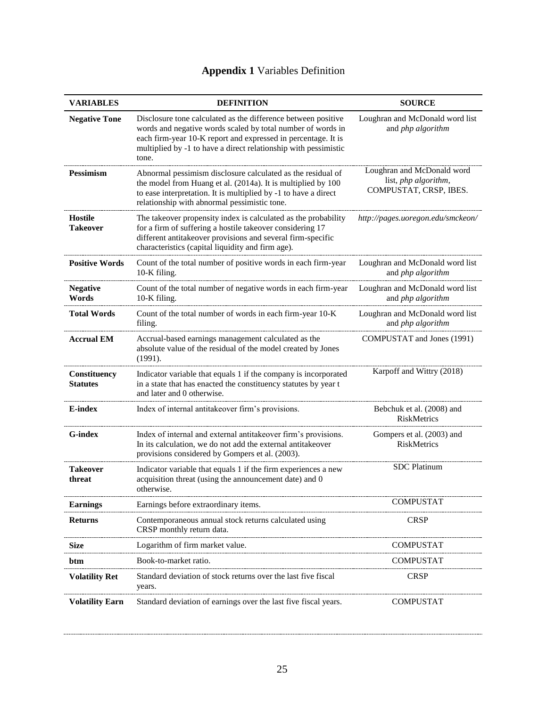| <b>VARIABLES</b>                       | <b>DEFINITION</b>                                                                                                                                                                                                                                                         | <b>SOURCE</b>                                                                |
|----------------------------------------|---------------------------------------------------------------------------------------------------------------------------------------------------------------------------------------------------------------------------------------------------------------------------|------------------------------------------------------------------------------|
| <b>Negative Tone</b>                   | Disclosure tone calculated as the difference between positive<br>words and negative words scaled by total number of words in<br>each firm-year 10-K report and expressed in percentage. It is<br>multiplied by -1 to have a direct relationship with pessimistic<br>tone. | Loughran and McDonald word list<br>and php algorithm                         |
| <b>Pessimism</b>                       | Abnormal pessimism disclosure calculated as the residual of<br>the model from Huang et al. (2014a). It is multiplied by 100<br>to ease interpretation. It is multiplied by -1 to have a direct<br>relationship with abnormal pessimistic tone.                            | Loughran and McDonald word<br>list, php algorithm,<br>COMPUSTAT, CRSP, IBES. |
| <b>Hostile</b><br><b>Takeover</b>      | The takeover propensity index is calculated as the probability<br>for a firm of suffering a hostile takeover considering 17<br>different antitakeover provisions and several firm-specific<br>characteristics (capital liquidity and firm age).                           | http://pages.uoregon.edu/smckeon/                                            |
| <b>Positive Words</b>                  | Count of the total number of positive words in each firm-year<br>10-K filing.                                                                                                                                                                                             | Loughran and McDonald word list<br>and php algorithm                         |
| <b>Negative</b><br>Words               | Count of the total number of negative words in each firm-year<br>10-K filing.                                                                                                                                                                                             | Loughran and McDonald word list<br>and php algorithm                         |
| <b>Total Words</b>                     | Count of the total number of words in each firm-year 10-K<br>filing.                                                                                                                                                                                                      | Loughran and McDonald word list<br>and php algorithm                         |
| <b>Accrual EM</b>                      | Accrual-based earnings management calculated as the<br>absolute value of the residual of the model created by Jones<br>(1991).                                                                                                                                            | COMPUSTAT and Jones (1991)                                                   |
| <b>Constituency</b><br><b>Statutes</b> | Indicator variable that equals 1 if the company is incorporated<br>in a state that has enacted the constituency statutes by year t<br>and later and 0 otherwise.                                                                                                          | Karpoff and Wittry (2018)                                                    |
| <b>E-index</b>                         | Index of internal antitakeover firm's provisions.                                                                                                                                                                                                                         | Bebchuk et al. (2008) and<br>RiskMetrics                                     |
| G-index                                | Index of internal and external antitakeover firm's provisions.<br>In its calculation, we do not add the external antitakeover<br>provisions considered by Gompers et al. (2003).                                                                                          | Gompers et al. (2003) and<br>RiskMetrics                                     |
| <b>Takeover</b><br>threat              | Indicator variable that equals 1 if the firm experiences a new<br>acquisition threat (using the announcement date) and 0<br>otherwise.                                                                                                                                    | <b>SDC</b> Platinum                                                          |
| <b>Earnings</b>                        | Earnings before extraordinary items.                                                                                                                                                                                                                                      | <b>COMPUSTAT</b>                                                             |
| <b>Returns</b>                         | Contemporaneous annual stock returns calculated using<br>CRSP monthly return data.                                                                                                                                                                                        | <b>CRSP</b>                                                                  |
| <b>Size</b>                            | Logarithm of firm market value.                                                                                                                                                                                                                                           | <b>COMPUSTAT</b>                                                             |
| btm                                    | Book-to-market ratio.                                                                                                                                                                                                                                                     | <b>COMPUSTAT</b>                                                             |
| <b>Volatility Ret</b>                  | Standard deviation of stock returns over the last five fiscal<br>years.                                                                                                                                                                                                   | <b>CRSP</b>                                                                  |
| <b>Volatility Earn</b>                 | Standard deviation of earnings over the last five fiscal years.                                                                                                                                                                                                           | <b>COMPUSTAT</b>                                                             |

# **Appendix 1** Variables Definition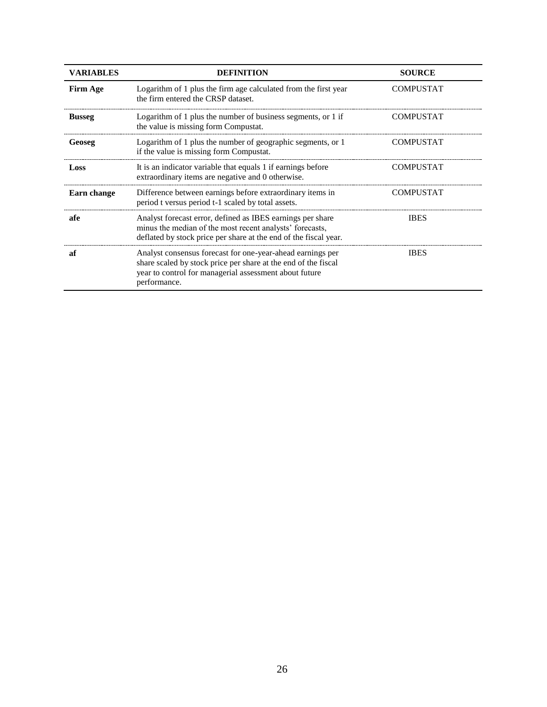| <b>VARIABLES</b> | <b>DEFINITION</b>                                                                                                                                                                                      | <b>SOURCE</b>    |
|------------------|--------------------------------------------------------------------------------------------------------------------------------------------------------------------------------------------------------|------------------|
| <b>Firm Age</b>  | Logarithm of 1 plus the firm age calculated from the first year<br>the firm entered the CRSP dataset.                                                                                                  | <b>COMPUSTAT</b> |
| <b>Busseg</b>    | Logarithm of 1 plus the number of business segments, or 1 if<br>the value is missing form Compustat.                                                                                                   | <b>COMPUSTAT</b> |
| Geoseg           | Logarithm of 1 plus the number of geographic segments, or 1<br>if the value is missing form Compustat.                                                                                                 | <b>COMPUSTAT</b> |
| Loss             | It is an indicator variable that equals 1 if earnings before<br>extraordinary items are negative and 0 otherwise.                                                                                      | <b>COMPUSTAT</b> |
| Earn change      | Difference between earnings before extraordinary items in<br>period t versus period t-1 scaled by total assets.                                                                                        | <b>COMPUSTAT</b> |
| afe              | Analyst forecast error, defined as IBES earnings per share<br>minus the median of the most recent analysts' forecasts,<br>deflated by stock price per share at the end of the fiscal year.             | <b>IBES</b>      |
| яf               | Analyst consensus forecast for one-year-ahead earnings per<br>share scaled by stock price per share at the end of the fiscal<br>year to control for managerial assessment about future<br>performance. | <b>IBES</b>      |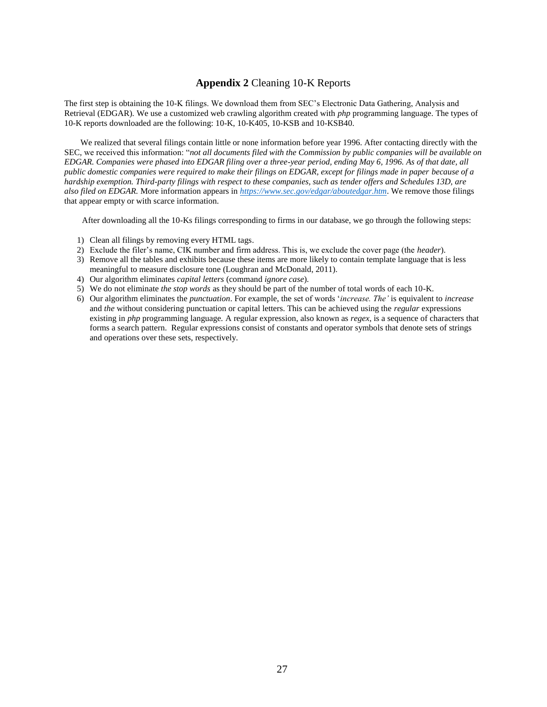#### **Appendix 2** Cleaning 10-K Reports

The first step is obtaining the 10-K filings. We download them from SEC's Electronic Data Gathering, Analysis and Retrieval (EDGAR). We use a customized web crawling algorithm created with *php* programming language. The types of 10-K reports downloaded are the following: 10-K, 10-K405, 10-KSB and 10-KSB40.

We realized that several filings contain little or none information before year 1996. After contacting directly with the SEC, we received this information: "*not all documents filed with the Commission by public companies will be available on EDGAR. Companies were phased into EDGAR filing over a three-year period, ending May 6, 1996. As of that date, all public domestic companies were required to make their filings on EDGAR, except for filings made in paper because of a hardship exemption. Third-party filings with respect to these companies, such as tender offers and Schedules 13D, are also filed on EDGAR.* More information appears in *<https://www.sec.gov/edgar/aboutedgar.htm>*. We remove those filings that appear empty or with scarce information.

After downloading all the 10-Ks filings corresponding to firms in our database, we go through the following steps:

- 1) Clean all filings by removing every HTML tags.
- 2) Exclude the filer's name, CIK number and firm address. This is, we exclude the cover page (the *header*).
- 3) Remove all the tables and exhibits because these items are more likely to contain template language that is less meaningful to measure disclosure tone (Loughran and McDonald, 2011).
- 4) Our algorithm eliminates *capital letters* (command *ignore case*).
- 5) We do not eliminate *the stop words* as they should be part of the number of total words of each 10-K.
- 6) Our algorithm eliminates the *punctuation*. For example, the set of words '*increase. The'* is equivalent to *increase* and *the* without considering punctuation or capital letters. This can be achieved using the *regular* expressions existing in *php* programming language*.* A regular expression, also known as *regex*, is a sequence of characters that forms a search pattern. Regular expressions consist of constants and operator symbols that denote sets of strings and operations over these sets, respectively.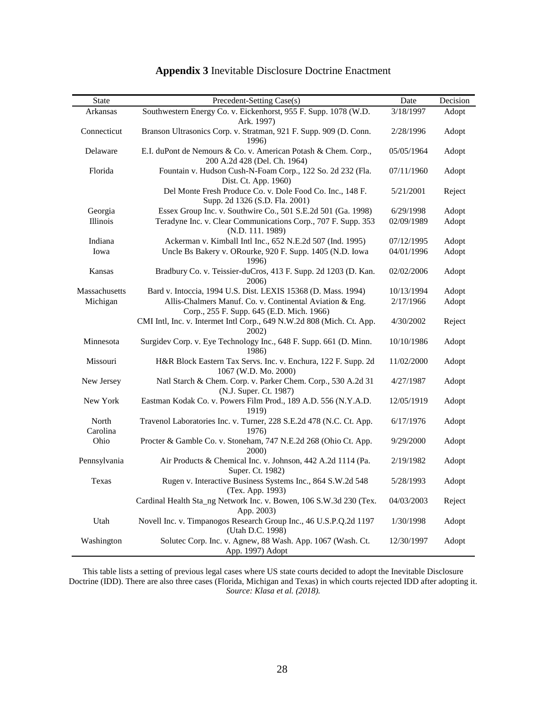| <b>State</b>      | Precedent-Setting Case(s)                                                                             | Date       | Decision |
|-------------------|-------------------------------------------------------------------------------------------------------|------------|----------|
| Arkansas          | Southwestern Energy Co. v. Eickenhorst, 955 F. Supp. 1078 (W.D.<br>Ark. 1997)                         | 3/18/1997  | Adopt    |
| Connecticut       | Branson Ultrasonics Corp. v. Stratman, 921 F. Supp. 909 (D. Conn.<br>1996)                            | 2/28/1996  | Adopt    |
| Delaware          | E.I. duPont de Nemours & Co. v. American Potash & Chem. Corp.,<br>200 A.2d 428 (Del. Ch. 1964)        | 05/05/1964 | Adopt    |
| Florida           | Fountain v. Hudson Cush-N-Foam Corp., 122 So. 2d 232 (Fla.<br>Dist. Ct. App. 1960)                    | 07/11/1960 | Adopt    |
|                   | Del Monte Fresh Produce Co. v. Dole Food Co. Inc., 148 F.<br>Supp. 2d 1326 (S.D. Fla. 2001)           | 5/21/2001  | Reject   |
| Georgia           | Essex Group Inc. v. Southwire Co., 501 S.E.2d 501 (Ga. 1998)                                          | 6/29/1998  | Adopt    |
| Illinois          | Teradyne Inc. v. Clear Communications Corp., 707 F. Supp. 353<br>(N.D. 111. 1989)                     | 02/09/1989 | Adopt    |
| Indiana           | Ackerman v. Kimball Intl Inc., 652 N.E.2d 507 (Ind. 1995)                                             | 07/12/1995 | Adopt    |
| Iowa              | Uncle Bs Bakery v. ORourke, 920 F. Supp. 1405 (N.D. Iowa<br>1996)                                     | 04/01/1996 | Adopt    |
| Kansas            | Bradbury Co. v. Teissier-duCros, 413 F. Supp. 2d 1203 (D. Kan.<br>2006)                               | 02/02/2006 | Adopt    |
| Massachusetts     | Bard v. Intoccia, 1994 U.S. Dist. LEXIS 15368 (D. Mass. 1994)                                         | 10/13/1994 | Adopt    |
| Michigan          | Allis-Chalmers Manuf. Co. v. Continental Aviation & Eng.<br>Corp., 255 F. Supp. 645 (E.D. Mich. 1966) | 2/17/1966  | Adopt    |
|                   | CMI Intl, Inc. v. Intermet Intl Corp., 649 N.W.2d 808 (Mich. Ct. App.<br>$2002$ )                     | 4/30/2002  | Reject   |
| Minnesota         | Surgidev Corp. v. Eye Technology Inc., 648 F. Supp. 661 (D. Minn.<br>1986)                            | 10/10/1986 | Adopt    |
| Missouri          | H&R Block Eastern Tax Servs. Inc. v. Enchura, 122 F. Supp. 2d<br>1067 (W.D. Mo. 2000)                 | 11/02/2000 | Adopt    |
| New Jersey        | Natl Starch & Chem. Corp. v. Parker Chem. Corp., 530 A.2d 31<br>(N.J. Super. Ct. 1987)                | 4/27/1987  | Adopt    |
| New York          | Eastman Kodak Co. v. Powers Film Prod., 189 A.D. 556 (N.Y.A.D.<br>1919)                               | 12/05/1919 | Adopt    |
| North<br>Carolina | Travenol Laboratories Inc. v. Turner, 228 S.E.2d 478 (N.C. Ct. App.<br>1976)                          | 6/17/1976  | Adopt    |
| Ohio              | Procter & Gamble Co. v. Stoneham, 747 N.E.2d 268 (Ohio Ct. App.<br>2000)                              | 9/29/2000  | Adopt    |
| Pennsylvania      | Air Products & Chemical Inc. v. Johnson, 442 A.2d 1114 (Pa.<br>Super. Ct. 1982)                       | 2/19/1982  | Adopt    |
| Texas             | Rugen v. Interactive Business Systems Inc., 864 S.W.2d 548<br>(Tex. App. 1993)                        | 5/28/1993  | Adopt    |
|                   | Cardinal Health Sta_ng Network Inc. v. Bowen, 106 S.W.3d 230 (Tex.<br>App. 2003)                      | 04/03/2003 | Reject   |
| Utah              | Novell Inc. v. Timpanogos Research Group Inc., 46 U.S.P.Q.2d 1197<br>(Utah D.C. 1998)                 | 1/30/1998  | Adopt    |
| Washington        | Solutec Corp. Inc. v. Agnew, 88 Wash. App. 1067 (Wash. Ct.<br>App. 1997) Adopt                        | 12/30/1997 | Adopt    |

# **Appendix 3** Inevitable Disclosure Doctrine Enactment

This table lists a setting of previous legal cases where US state courts decided to adopt the Inevitable Disclosure Doctrine (IDD). There are also three cases (Florida, Michigan and Texas) in which courts rejected IDD after adopting it. *Source: Klasa et al. (2018).*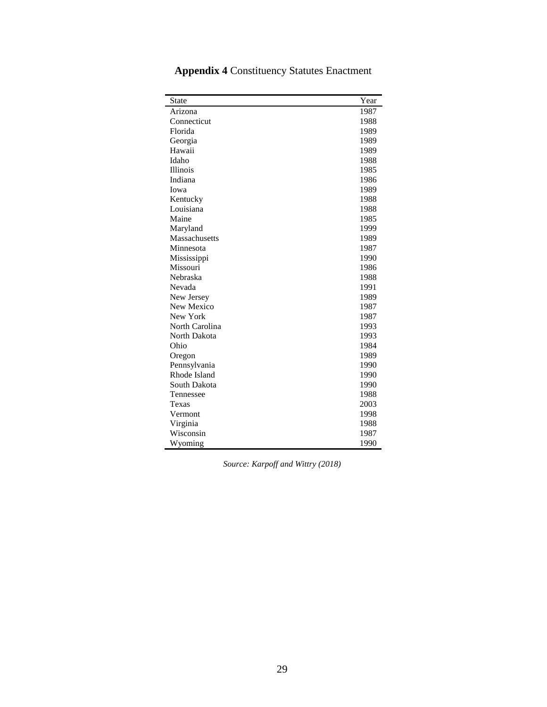| <b>State</b>   | Year |
|----------------|------|
|                |      |
| Arizona        | 1987 |
| Connecticut    | 1988 |
| Florida        | 1989 |
| Georgia        | 1989 |
| Hawaii         | 1989 |
| Idaho          | 1988 |
| Illinois       | 1985 |
| Indiana        | 1986 |
| Iowa           | 1989 |
| Kentucky       | 1988 |
| Louisiana      | 1988 |
| Maine          | 1985 |
| Maryland       | 1999 |
| Massachusetts  | 1989 |
| Minnesota      | 1987 |
| Mississippi    | 1990 |
| Missouri       | 1986 |
| Nebraska       | 1988 |
| Nevada         | 1991 |
| New Jersey     | 1989 |
| New Mexico     | 1987 |
| New York       | 1987 |
| North Carolina | 1993 |
| North Dakota   | 1993 |
| Ohio           | 1984 |
| Oregon         | 1989 |
| Pennsylvania   | 1990 |
| Rhode Island   | 1990 |
| South Dakota   | 1990 |
| Tennessee      | 1988 |
| Texas          | 2003 |
| Vermont        | 1998 |
| Virginia       | 1988 |
| Wisconsin      | 1987 |
| Wyoming        | 1990 |

**Appendix 4** Constituency Statutes Enactment

*Source: Karpoff and Wittry (2018)*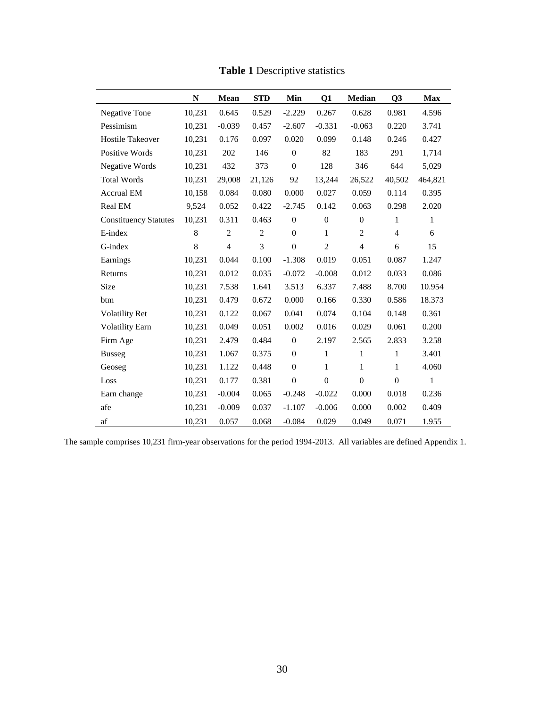|                              | $\mathbf N$ | <b>Mean</b>    | <b>STD</b>     | Min              | Q1               | <b>Median</b>  | Q <sub>3</sub> | <b>Max</b>   |
|------------------------------|-------------|----------------|----------------|------------------|------------------|----------------|----------------|--------------|
| Negative Tone                | 10,231      | 0.645          | 0.529          | $-2.229$         | 0.267            | 0.628          | 0.981          | 4.596        |
| Pessimism                    | 10,231      | $-0.039$       | 0.457          | $-2.607$         | $-0.331$         | $-0.063$       | 0.220          | 3.741        |
| <b>Hostile Takeover</b>      | 10,231      | 0.176          | 0.097          | 0.020            | 0.099            | 0.148          | 0.246          | 0.427        |
| Positive Words               | 10,231      | 202            | 146            | $\overline{0}$   | 82               | 183            | 291            | 1,714        |
| Negative Words               | 10,231      | 432            | 373            | $\mathbf{0}$     | 128              | 346            | 644            | 5,029        |
| <b>Total Words</b>           | 10,231      | 29,008         | 21,126         | 92               | 13,244           | 26,522         | 40,502         | 464,821      |
| <b>Accrual EM</b>            | 10,158      | 0.084          | 0.080          | 0.000            | 0.027            | 0.059          | 0.114          | 0.395        |
| Real EM                      | 9,524       | 0.052          | 0.422          | $-2.745$         | 0.142            | 0.063          | 0.298          | 2.020        |
| <b>Constituency Statutes</b> | 10,231      | 0.311          | 0.463          | $\overline{0}$   | $\boldsymbol{0}$ | $\mathbf{0}$   | 1              | $\mathbf{1}$ |
| E-index                      | 8           | $\overline{2}$ | $\overline{2}$ | $\mathbf{0}$     | $\mathbf{1}$     | 2              | $\overline{4}$ | 6            |
| G-index                      | 8           | $\overline{4}$ | 3              | $\mathbf{0}$     | $\overline{2}$   | $\overline{4}$ | 6              | 15           |
| Earnings                     | 10,231      | 0.044          | 0.100          | $-1.308$         | 0.019            | 0.051          | 0.087          | 1.247        |
| Returns                      | 10,231      | 0.012          | 0.035          | $-0.072$         | $-0.008$         | 0.012          | 0.033          | 0.086        |
| <b>Size</b>                  | 10,231      | 7.538          | 1.641          | 3.513            | 6.337            | 7.488          | 8.700          | 10.954       |
| btm                          | 10,231      | 0.479          | 0.672          | 0.000            | 0.166            | 0.330          | 0.586          | 18.373       |
| <b>Volatility Ret</b>        | 10,231      | 0.122          | 0.067          | 0.041            | 0.074            | 0.104          | 0.148          | 0.361        |
| <b>Volatility Earn</b>       | 10,231      | 0.049          | 0.051          | 0.002            | 0.016            | 0.029          | 0.061          | 0.200        |
| Firm Age                     | 10,231      | 2.479          | 0.484          | $\boldsymbol{0}$ | 2.197            | 2.565          | 2.833          | 3.258        |
| <b>Busseg</b>                | 10,231      | 1.067          | 0.375          | $\overline{0}$   | $\mathbf{1}$     | 1              | 1              | 3.401        |
| Geoseg                       | 10,231      | 1.122          | 0.448          | $\overline{0}$   | $\mathbf{1}$     | $\mathbf{1}$   | 1              | 4.060        |
| Loss                         | 10,231      | 0.177          | 0.381          | $\overline{0}$   | $\overline{0}$   | $\mathbf{0}$   | $\mathbf{0}$   | $\mathbf{1}$ |
| Earn change                  | 10,231      | $-0.004$       | 0.065          | $-0.248$         | $-0.022$         | 0.000          | 0.018          | 0.236        |
| afe                          | 10,231      | $-0.009$       | 0.037          | $-1.107$         | $-0.006$         | 0.000          | 0.002          | 0.409        |
| af                           | 10,231      | 0.057          | 0.068          | $-0.084$         | 0.029            | 0.049          | 0.071          | 1.955        |

**Table 1** Descriptive statistics

The sample comprises 10,231 firm-year observations for the period 1994-2013. All variables are defined Appendix 1.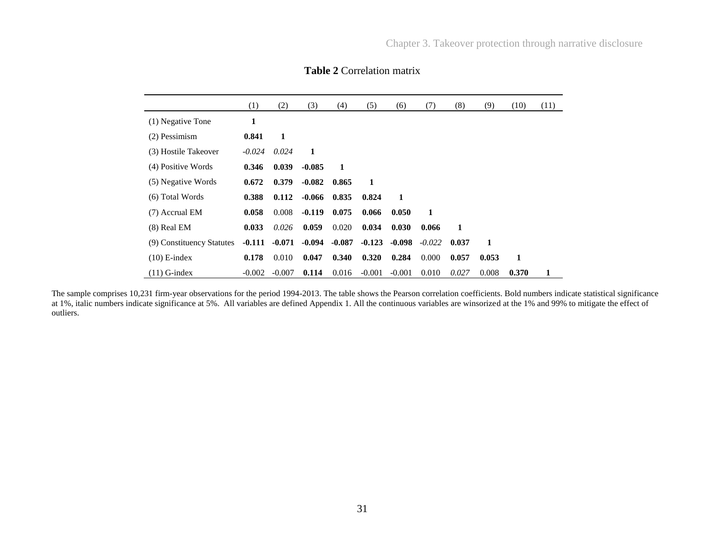|                           | (1)      | (2)      | (3)      | (4)      | (5)      | (6)      | (7)      | (8)   | (9)   | (10)  | (11) |
|---------------------------|----------|----------|----------|----------|----------|----------|----------|-------|-------|-------|------|
| (1) Negative Tone         | 1        |          |          |          |          |          |          |       |       |       |      |
| $(2)$ Pessimism           | 0.841    | 1        |          |          |          |          |          |       |       |       |      |
| (3) Hostile Takeover      | $-0.024$ | 0.024    | 1        |          |          |          |          |       |       |       |      |
| (4) Positive Words        | 0.346    | 0.039    | $-0.085$ | 1        |          |          |          |       |       |       |      |
| (5) Negative Words        | 0.672    | 0.379    | $-0.082$ | 0.865    | 1        |          |          |       |       |       |      |
| (6) Total Words           | 0.388    | 0.112    | -0.066   | 0.835    | 0.824    | 1        |          |       |       |       |      |
| (7) Accrual EM            | 0.058    | 0.008    | $-0.119$ | 0.075    | 0.066    | 0.050    | 1        |       |       |       |      |
| $(8)$ Real EM             | 0.033    | 0.026    | 0.059    | 0.020    | 0.034    | 0.030    | 0.066    | 1     |       |       |      |
| (9) Constituency Statutes | $-0.111$ | $-0.071$ | $-0.094$ | $-0.087$ | $-0.123$ | $-0.098$ | $-0.022$ | 0.037 | 1     |       |      |
| $(10)$ E-index            | 0.178    | 0.010    | 0.047    | 0.340    | 0.320    | 0.284    | 0.000    | 0.057 | 0.053 | 1     |      |
| $(11)$ G-index            | $-0.002$ | $-0.007$ | 0.114    | 0.016    | $-0.001$ | $-0.001$ | 0.010    | 0.027 | 0.008 | 0.370 |      |

## **Table 2** Correlation matrix

The sample comprises 10,231 firm-year observations for the period 1994-2013. The table shows the Pearson correlation coefficients. Bold numbers indicate statistical significance at 1%, italic numbers indicate significance at 5%. All variables are defined Appendix 1. All the continuous variables are winsorized at the 1% and 99% to mitigate the effect of outliers.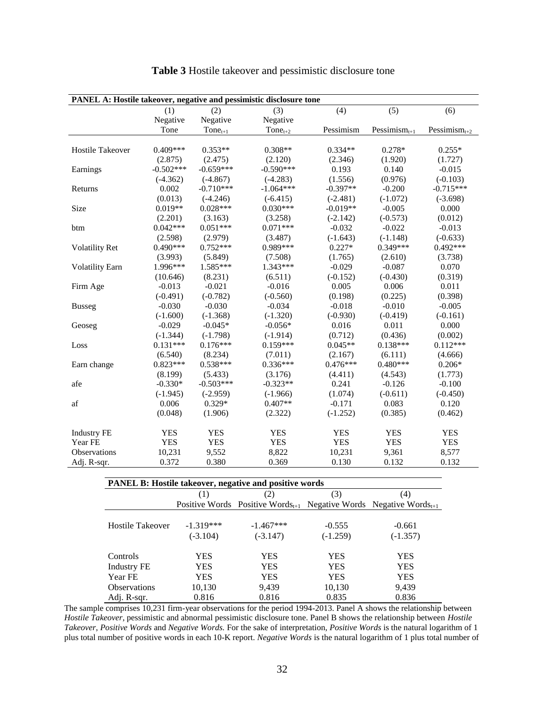| PANEL A: Hostile takeover, negative and pessimistic disclosure tone |             |              |              |            |                    |                    |  |  |  |
|---------------------------------------------------------------------|-------------|--------------|--------------|------------|--------------------|--------------------|--|--|--|
|                                                                     | (1)         | (2)          | (3)          | (4)        | (5)                | (6)                |  |  |  |
|                                                                     | Negative    | Negative     | Negative     |            |                    |                    |  |  |  |
|                                                                     | Tone        | $Tone_{t+1}$ | $Tone_{t+2}$ | Pessimism  | Pessimis $m_{t+1}$ | Pessimis $m_{t+2}$ |  |  |  |
|                                                                     |             |              |              |            |                    |                    |  |  |  |
| <b>Hostile Takeover</b>                                             | $0.409***$  | $0.353**$    | $0.308**$    | $0.334**$  | $0.278*$           | $0.255*$           |  |  |  |
|                                                                     | (2.875)     | (2.475)      | (2.120)      | (2.346)    | (1.920)            | (1.727)            |  |  |  |
| Earnings                                                            | $-0.502***$ | $-0.659***$  | $-0.590***$  | 0.193      | 0.140              | $-0.015$           |  |  |  |
|                                                                     | $(-4.362)$  | $(-4.867)$   | $(-4.283)$   | (1.556)    | (0.976)            | $(-0.103)$         |  |  |  |
| Returns                                                             | 0.002       | $-0.710***$  | $-1.064***$  | $-0.397**$ | $-0.200$           | $-0.715***$        |  |  |  |
|                                                                     | (0.013)     | $(-4.246)$   | $(-6.415)$   | $(-2.481)$ | $(-1.072)$         | $(-3.698)$         |  |  |  |
| Size                                                                | $0.019**$   | $0.028***$   | $0.030***$   | $-0.019**$ | $-0.005$           | 0.000              |  |  |  |
|                                                                     | (2.201)     | (3.163)      | (3.258)      | $(-2.142)$ | $(-0.573)$         | (0.012)            |  |  |  |
| btm                                                                 | $0.042***$  | $0.051***$   | $0.071***$   | $-0.032$   | $-0.022$           | $-0.013$           |  |  |  |
|                                                                     | (2.598)     | (2.979)      | (3.487)      | $(-1.643)$ | $(-1.148)$         | $(-0.633)$         |  |  |  |
| <b>Volatility Ret</b>                                               | $0.490***$  | $0.752***$   | $0.989***$   | $0.227*$   | $0.349***$         | $0.492***$         |  |  |  |
|                                                                     | (3.993)     | (5.849)      | (7.508)      | (1.765)    | (2.610)            | (3.738)            |  |  |  |
| <b>Volatility Earn</b>                                              | 1.996***    | 1.585***     | $1.343***$   | $-0.029$   | $-0.087$           | 0.070              |  |  |  |
|                                                                     | (10.646)    | (8.231)      | (6.511)      | $(-0.152)$ | $(-0.430)$         | (0.319)            |  |  |  |
| Firm Age                                                            | $-0.013$    | $-0.021$     | $-0.016$     | 0.005      | 0.006              | 0.011              |  |  |  |
|                                                                     | $(-0.491)$  | $(-0.782)$   | $(-0.560)$   | (0.198)    | (0.225)            | (0.398)            |  |  |  |
| <b>Busseg</b>                                                       | $-0.030$    | $-0.030$     | $-0.034$     | $-0.018$   | $-0.010$           | $-0.005$           |  |  |  |
|                                                                     | $(-1.600)$  | $(-1.368)$   | $(-1.320)$   | $(-0.930)$ | $(-0.419)$         | $(-0.161)$         |  |  |  |
| Geoseg                                                              | $-0.029$    | $-0.045*$    | $-0.056*$    | 0.016      | 0.011              | 0.000              |  |  |  |
|                                                                     | $(-1.344)$  | $(-1.798)$   | $(-1.914)$   | (0.712)    | (0.436)            | (0.002)            |  |  |  |
| Loss                                                                | $0.131***$  | $0.176***$   | $0.159***$   | $0.045**$  | $0.138***$         | $0.112***$         |  |  |  |
|                                                                     | (6.540)     | (8.234)      | (7.011)      | (2.167)    | (6.111)            | (4.666)            |  |  |  |
| Earn change                                                         | $0.823***$  | $0.538***$   | $0.336***$   | $0.476***$ | $0.480***$         | $0.206*$           |  |  |  |
|                                                                     | (8.199)     | (5.433)      | (3.176)      | (4.411)    | (4.543)            | (1.773)            |  |  |  |
| afe                                                                 | $-0.330*$   | $-0.503***$  | $-0.323**$   | 0.241      | $-0.126$           | $-0.100$           |  |  |  |
|                                                                     | $(-1.945)$  | $(-2.959)$   | $(-1.966)$   | (1.074)    | $(-0.611)$         | $(-0.450)$         |  |  |  |
| af                                                                  | 0.006       | $0.329*$     | $0.407**$    | $-0.171$   | 0.083              | 0.120              |  |  |  |
|                                                                     | (0.048)     | (1.906)      | (2.322)      | $(-1.252)$ | (0.385)            | (0.462)            |  |  |  |
| <b>Industry FE</b>                                                  | <b>YES</b>  | <b>YES</b>   | <b>YES</b>   | <b>YES</b> | <b>YES</b>         | <b>YES</b>         |  |  |  |
| Year FE                                                             | <b>YES</b>  | <b>YES</b>   | <b>YES</b>   | <b>YES</b> | <b>YES</b>         | <b>YES</b>         |  |  |  |
| Observations                                                        | 10,231      | 9,552        | 8,822        | 10,231     | 9,361              | 8,577              |  |  |  |
| Adj. R-sqr.                                                         | 0.372       | 0.380        | 0.369        | 0.130      | 0.132              | 0.132              |  |  |  |

|  |  |  |  |  |  | <b>Table 3</b> Hostile takeover and pessimistic disclosure tone |
|--|--|--|--|--|--|-----------------------------------------------------------------|
|--|--|--|--|--|--|-----------------------------------------------------------------|

| <b>PANEL B: Hostile takeover, negative and positive words</b> |             |             |            |                                                                                           |  |  |  |  |  |
|---------------------------------------------------------------|-------------|-------------|------------|-------------------------------------------------------------------------------------------|--|--|--|--|--|
|                                                               | (1)         |             | (3)        | (4)                                                                                       |  |  |  |  |  |
|                                                               |             |             |            | Positive Words Positive Words <sub>t+1</sub> Negative Words Negative Words <sub>t+1</sub> |  |  |  |  |  |
|                                                               |             |             |            |                                                                                           |  |  |  |  |  |
| Hostile Takeover                                              | $-1.319***$ | $-1.467***$ | $-0.555$   | $-0.661$                                                                                  |  |  |  |  |  |
|                                                               | $(-3.104)$  | $(-3.147)$  | $(-1.259)$ | $(-1.357)$                                                                                |  |  |  |  |  |
| Controls                                                      | YES.        | YES         | <b>YES</b> | YES                                                                                       |  |  |  |  |  |
| <b>Industry FE</b>                                            | YES         | YES         | YES        | YES                                                                                       |  |  |  |  |  |
| Year FE                                                       | YES.        | YES         | YES        | <b>YES</b>                                                                                |  |  |  |  |  |
| <b>Observations</b>                                           | 10,130      | 9,439       | 10,130     | 9,439                                                                                     |  |  |  |  |  |
| Adj. R-sqr.                                                   | 0.816       | 0.816       | 0.835      | 0.836                                                                                     |  |  |  |  |  |

The sample comprises 10,231 firm-year observations for the period 1994-2013. Panel A shows the relationship between *Hostile Takeover*, pessimistic and abnormal pessimistic disclosure tone. Panel B shows the relationship between *Hostile Takeover*, *Positive Words* and *Negative Words.* For the sake of interpretation, *Positive Words* is the natural logarithm of 1 plus total number of positive words in each 10-K report. *Negative Words* is the natural logarithm of 1 plus total number of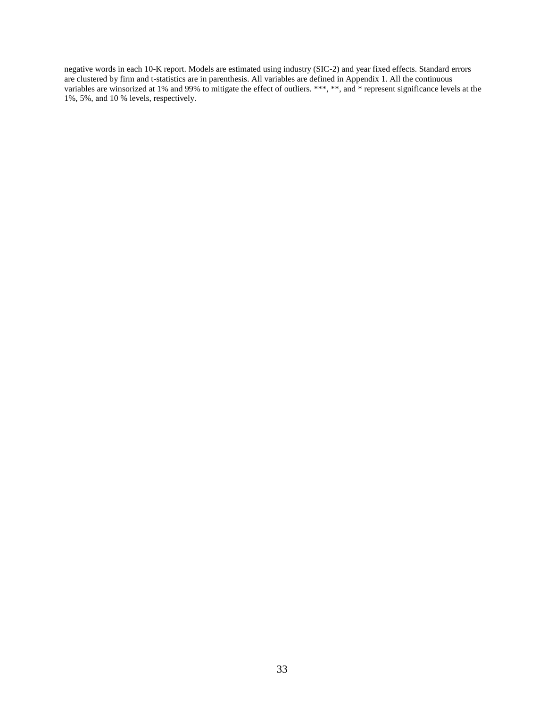negative words in each 10-K report. Models are estimated using industry (SIC-2) and year fixed effects. Standard errors are clustered by firm and t-statistics are in parenthesis. All variables are defined in Appendix 1. All the continuous variables are winsorized at 1% and 99% to mitigate the effect of outliers. \*\*\*, \*\*, and \* represent significance levels at the 1%, 5%, and 10 % levels, respectively.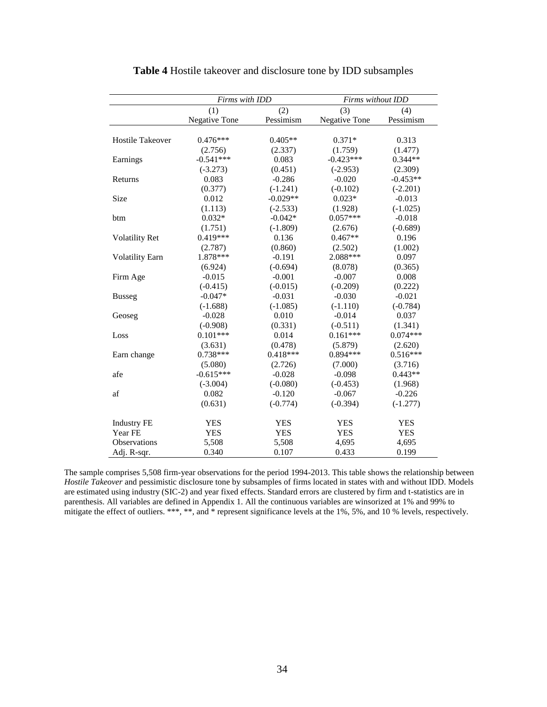|                         | Firms with IDD       |                  | Firms without IDD |            |  |  |
|-------------------------|----------------------|------------------|-------------------|------------|--|--|
|                         | (1)                  | $\overline{(2)}$ | (3)               | (4)        |  |  |
|                         | <b>Negative Tone</b> | Pessimism        | Negative Tone     | Pessimism  |  |  |
|                         |                      |                  |                   |            |  |  |
| <b>Hostile Takeover</b> | $0.476***$           | $0.405**$        | $0.371*$          | 0.313      |  |  |
|                         | (2.756)              | (2.337)          | (1.759)           | (1.477)    |  |  |
| Earnings                | $-0.541***$          | 0.083            | $-0.423***$       | $0.344**$  |  |  |
|                         | $(-3.273)$           | (0.451)          | $(-2.953)$        | (2.309)    |  |  |
| Returns                 | 0.083                | $-0.286$         | $-0.020$          | $-0.453**$ |  |  |
|                         | (0.377)              | $(-1.241)$       | $(-0.102)$        | $(-2.201)$ |  |  |
| Size                    | 0.012                | $-0.029**$       | $0.023*$          | $-0.013$   |  |  |
|                         | (1.113)              | $(-2.533)$       | (1.928)           | $(-1.025)$ |  |  |
| btm                     | $0.032*$             | $-0.042*$        | $0.057***$        | $-0.018$   |  |  |
|                         | (1.751)              | $(-1.809)$       | (2.676)           | $(-0.689)$ |  |  |
| <b>Volatility Ret</b>   | $0.419***$           | 0.136            | $0.467**$         | 0.196      |  |  |
|                         | (2.787)              | (0.860)          | (2.502)           | (1.002)    |  |  |
| <b>Volatility Earn</b>  | 1.878 ***            | $-0.191$         | 2.088***          | 0.097      |  |  |
|                         | (6.924)              | $(-0.694)$       | (8.078)           | (0.365)    |  |  |
| Firm Age                | $-0.015$             | $-0.001$         | $-0.007$          | 0.008      |  |  |
|                         | $(-0.415)$           | $(-0.015)$       | $(-0.209)$        | (0.222)    |  |  |
| <b>Busseg</b>           | $-0.047*$            | $-0.031$         | $-0.030$          | $-0.021$   |  |  |
|                         | $(-1.688)$           | $(-1.085)$       | $(-1.110)$        | $(-0.784)$ |  |  |
| Geoseg                  | $-0.028$             | 0.010            | $-0.014$          | 0.037      |  |  |
|                         | $(-0.908)$           | (0.331)          | $(-0.511)$        | (1.341)    |  |  |
| Loss                    | $0.101***$           | 0.014            | $0.161***$        | $0.074***$ |  |  |
|                         | (3.631)              | (0.478)          | (5.879)           | (2.620)    |  |  |
| Earn change             | $0.738***$           | $0.418***$       | $0.894***$        | $0.516***$ |  |  |
|                         | (5.080)              | (2.726)          | (7.000)           | (3.716)    |  |  |
| afe                     | $-0.615***$          | $-0.028$         | $-0.098$          | $0.443**$  |  |  |
|                         | $(-3.004)$           | $(-0.080)$       | $(-0.453)$        | (1.968)    |  |  |
| af                      | 0.082                | $-0.120$         | $-0.067$          | $-0.226$   |  |  |
|                         | (0.631)              | $(-0.774)$       | $(-0.394)$        | $(-1.277)$ |  |  |
| <b>Industry FE</b>      | <b>YES</b>           | <b>YES</b>       | <b>YES</b>        | <b>YES</b> |  |  |
| Year FE                 | <b>YES</b>           | <b>YES</b>       | <b>YES</b>        | <b>YES</b> |  |  |
| <b>Observations</b>     | 5,508                | 5,508            | 4,695             | 4,695      |  |  |
| Adj. R-sqr.             | 0.340                | 0.107            | 0.433             | 0.199      |  |  |

**Table 4** Hostile takeover and disclosure tone by IDD subsamples

The sample comprises 5,508 firm-year observations for the period 1994-2013. This table shows the relationship between *Hostile Takeover* and pessimistic disclosure tone by subsamples of firms located in states with and without IDD. Models are estimated using industry (SIC-2) and year fixed effects. Standard errors are clustered by firm and t-statistics are in parenthesis. All variables are defined in Appendix 1. All the continuous variables are winsorized at 1% and 99% to mitigate the effect of outliers. \*\*\*, \*\*, and \* represent significance levels at the 1%, 5%, and 10 % levels, respectively.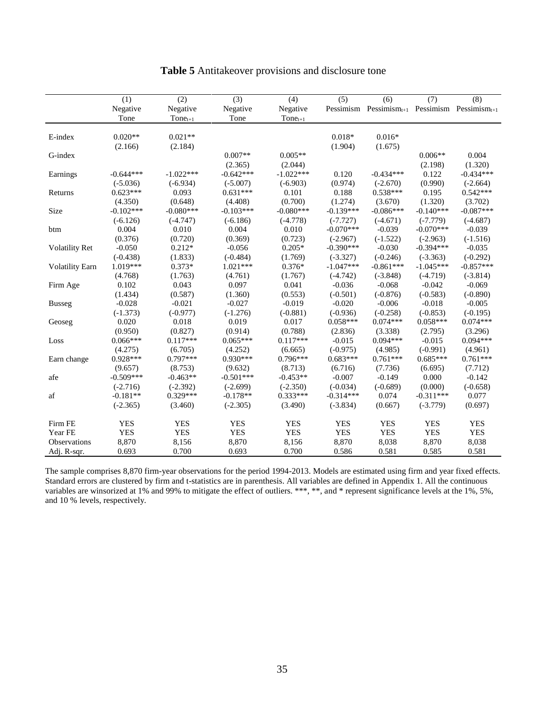|                        | (1)         | (2)          | $\overline{(3)}$ | (4)          | $\overline{(5)}$ | (6)                                                       | $\overline{(7)}$ | $\overline{(8)}$ |
|------------------------|-------------|--------------|------------------|--------------|------------------|-----------------------------------------------------------|------------------|------------------|
|                        | Negative    | Negative     | Negative         | Negative     |                  | Pessimism Pessimism $_{t+1}$ Pessimism Pessimism $_{t+1}$ |                  |                  |
|                        | Tone        | $Tone_{t+1}$ | Tone             | $Tone_{t+1}$ |                  |                                                           |                  |                  |
|                        |             |              |                  |              |                  |                                                           |                  |                  |
| E-index                | $0.020**$   | $0.021**$    |                  |              | $0.018*$         | $0.016*$                                                  |                  |                  |
|                        | (2.166)     | (2.184)      |                  |              | (1.904)          | (1.675)                                                   |                  |                  |
| G-index                |             |              | $0.007**$        | $0.005**$    |                  |                                                           | $0.006**$        | 0.004            |
|                        |             |              | (2.365)          | (2.044)      |                  |                                                           | (2.198)          | (1.320)          |
| Earnings               | $-0.644***$ | $-1.022***$  | $-0.642***$      | $-1.022***$  | 0.120            | $-0.434***$                                               | 0.122            | $-0.434***$      |
|                        | $(-5.036)$  | $(-6.934)$   | $(-5.007)$       | $(-6.903)$   | (0.974)          | $(-2.670)$                                                | (0.990)          | $(-2.664)$       |
| Returns                | $0.623***$  | 0.093        | $0.631***$       | 0.101        | 0.188            | $0.538***$                                                | 0.195            | $0.542***$       |
|                        | (4.350)     | (0.648)      | (4.408)          | (0.700)      | (1.274)          | (3.670)                                                   | (1.320)          | (3.702)          |
| Size                   | $-0.102***$ | $-0.080***$  | $-0.103***$      | $-0.080***$  | $-0.139***$      | $-0.086***$                                               | $-0.140***$      | $-0.087***$      |
|                        | $(-6.126)$  | $(-4.747)$   | $(-6.186)$       | $(-4.778)$   | $(-7.727)$       | $(-4.671)$                                                | $(-7.779)$       | $(-4.687)$       |
| btm                    | 0.004       | 0.010        | 0.004            | 0.010        | $-0.070***$      | $-0.039$                                                  | $-0.070***$      | $-0.039$         |
|                        | (0.376)     | (0.720)      | (0.369)          | (0.723)      | $(-2.967)$       | $(-1.522)$                                                | $(-2.963)$       | $(-1.516)$       |
| <b>Volatility Ret</b>  | $-0.050$    | $0.212*$     | $-0.056$         | $0.205*$     | $-0.390***$      | $-0.030$                                                  | $-0.394***$      | $-0.035$         |
|                        | $(-0.438)$  | (1.833)      | $(-0.484)$       | (1.769)      | $(-3.327)$       | $(-0.246)$                                                | $(-3.363)$       | $(-0.292)$       |
| <b>Volatility Earn</b> | 1.019***    | $0.373*$     | $1.021***$       | $0.376*$     | $-1.047***$      | $-0.861***$                                               | $-1.045***$      | $-0.857***$      |
|                        | (4.768)     | (1.763)      | (4.761)          | (1.767)      | $(-4.742)$       | $(-3.848)$                                                | $(-4.719)$       | $(-3.814)$       |
| Firm Age               | 0.102       | 0.043        | 0.097            | 0.041        | $-0.036$         | $-0.068$                                                  | $-0.042$         | $-0.069$         |
|                        | (1.434)     | (0.587)      | (1.360)          | (0.553)      | $(-0.501)$       | $(-0.876)$                                                | $(-0.583)$       | $(-0.890)$       |
| <b>Busseg</b>          | $-0.028$    | $-0.021$     | $-0.027$         | $-0.019$     | $-0.020$         | $-0.006$                                                  | $-0.018$         | $-0.005$         |
|                        | $(-1.373)$  | $(-0.977)$   | $(-1.276)$       | $(-0.881)$   | $(-0.936)$       | $(-0.258)$                                                | $(-0.853)$       | $(-0.195)$       |
| Geoseg                 | 0.020       | 0.018        | 0.019            | 0.017        | $0.058***$       | $0.074***$                                                | $0.058***$       | $0.074***$       |
|                        | (0.950)     | (0.827)      | (0.914)          | (0.788)      | (2.836)          | (3.338)                                                   | (2.795)          | (3.296)          |
| Loss                   | $0.066***$  | $0.117***$   | $0.065***$       | $0.117***$   | $-0.015$         | $0.094***$                                                | $-0.015$         | $0.094***$       |
|                        | (4.275)     | (6.705)      | (4.252)          | (6.665)      | $(-0.975)$       | (4.985)                                                   | $(-0.991)$       | (4.961)          |
| Earn change            | 0.928***    | $0.797***$   | $0.930***$       | $0.796***$   | $0.683***$       | $0.761***$                                                | $0.685***$       | $0.761***$       |
|                        | (9.657)     | (8.753)      | (9.632)          | (8.713)      | (6.716)          | (7.736)                                                   | (6.695)          | (7.712)          |
| afe                    | $-0.509***$ | $-0.463**$   | $-0.501***$      | $-0.453**$   | $-0.007$         | $-0.149$                                                  | 0.000            | $-0.142$         |
|                        | $(-2.716)$  | $(-2.392)$   | $(-2.699)$       | $(-2.350)$   | $(-0.034)$       | $(-0.689)$                                                | (0.000)          | $(-0.658)$       |
| af                     | $-0.181**$  | $0.329***$   | $-0.178**$       | $0.333***$   | $-0.314***$      | 0.074                                                     | $-0.311***$      | 0.077            |
|                        | $(-2.365)$  | (3.460)      | $(-2.305)$       | (3.490)      | $(-3.834)$       | (0.667)                                                   | $(-3.779)$       | (0.697)          |
| Firm FE                | <b>YES</b>  | <b>YES</b>   | <b>YES</b>       | <b>YES</b>   | <b>YES</b>       | <b>YES</b>                                                | <b>YES</b>       | <b>YES</b>       |
| Year FE                | <b>YES</b>  | <b>YES</b>   | <b>YES</b>       | <b>YES</b>   | <b>YES</b>       | <b>YES</b>                                                | <b>YES</b>       | <b>YES</b>       |
| Observations           | 8,870       | 8,156        | 8,870            | 8,156        | 8,870            | 8,038                                                     | 8,870            | 8,038            |
| Adj. R-sqr.            | 0.693       | 0.700        | 0.693            | 0.700        | 0.586            | 0.581                                                     | 0.585            | 0.581            |

# **Table 5** Antitakeover provisions and disclosure tone

The sample comprises 8,870 firm-year observations for the period 1994-2013. Models are estimated using firm and year fixed effects. Standard errors are clustered by firm and t-statistics are in parenthesis. All variables are defined in Appendix 1. All the continuous variables are winsorized at 1% and 99% to mitigate the effect of outliers. \*\*\*, \*\*, and \* represent significance levels at the 1%, 5%, and 10 % levels, respectively.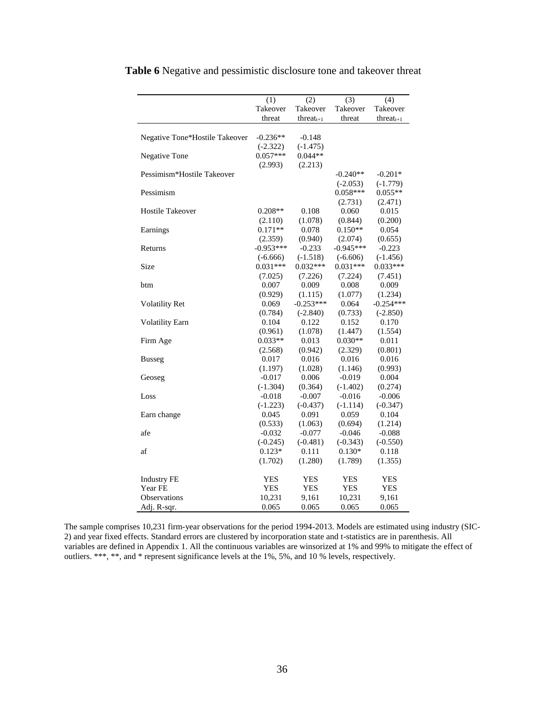|                                | (1)         | (2)             | (3)         | (4)             |
|--------------------------------|-------------|-----------------|-------------|-----------------|
|                                | Takeover    | Takeover        | Takeover    | Takeover        |
|                                | threat      | threat $_{t+1}$ | threat      | threat $_{t+1}$ |
|                                |             |                 |             |                 |
| Negative Tone*Hostile Takeover | $-0.236**$  | $-0.148$        |             |                 |
|                                | $(-2.322)$  | $(-1.475)$      |             |                 |
| <b>Negative Tone</b>           | $0.057***$  | $0.044**$       |             |                 |
|                                | (2.993)     | (2.213)         |             |                 |
| Pessimism*Hostile Takeover     |             |                 | $-0.240**$  | $-0.201*$       |
|                                |             |                 | $(-2.053)$  | $(-1.779)$      |
| Pessimism                      |             |                 | $0.058***$  | $0.055**$       |
|                                |             |                 | (2.731)     | (2.471)         |
| <b>Hostile Takeover</b>        | $0.208**$   | 0.108           | 0.060       | 0.015           |
|                                | (2.110)     | (1.078)         | (0.844)     | (0.200)         |
| Earnings                       | $0.171**$   | 0.078           | $0.150**$   | 0.054           |
|                                | (2.359)     | (0.940)         | (2.074)     | (0.655)         |
| Returns                        | $-0.953***$ | $-0.233$        | $-0.945***$ | $-0.223$        |
|                                | $(-6.666)$  | $(-1.518)$      | $(-6.606)$  | $(-1.456)$      |
| Size                           | $0.031***$  | $0.032***$      | $0.031***$  | $0.033***$      |
|                                | (7.025)     | (7.226)         | (7.224)     | (7.451)         |
| btm                            | 0.007       | 0.009           | 0.008       | 0.009           |
|                                | (0.929)     | (1.115)         | (1.077)     | (1.234)         |
| Volatility Ret                 | 0.069       | $-0.253***$     | 0.064       | $-0.254***$     |
|                                | (0.784)     | $(-2.840)$      | (0.733)     | $(-2.850)$      |
| <b>Volatility Earn</b>         | 0.104       | 0.122           | 0.152       | 0.170           |
|                                | (0.961)     | (1.078)         | (1.447)     | (1.554)         |
| Firm Age                       | $0.033**$   | 0.013           | $0.030**$   | 0.011           |
|                                | (2.568)     | (0.942)         | (2.329)     | (0.801)         |
| <b>Busseg</b>                  | 0.017       | 0.016           | 0.016       | 0.016           |
|                                | (1.197)     | (1.028)         | (1.146)     | (0.993)         |
| Geoseg                         | $-0.017$    | 0.006           | $-0.019$    | 0.004           |
|                                | $(-1.304)$  | (0.364)         | $(-1.402)$  | (0.274)         |
| Loss                           | $-0.018$    | $-0.007$        | $-0.016$    | $-0.006$        |
|                                | $(-1.223)$  | $(-0.437)$      | $(-1.114)$  | $(-0.347)$      |
| Earn change                    | 0.045       | 0.091           | 0.059       | 0.104           |
|                                | (0.533)     | (1.063)         | (0.694)     | (1.214)         |
| afe                            | $-0.032$    | $-0.077$        | $-0.046$    | $-0.088$        |
|                                | $(-0.245)$  | $(-0.481)$      | $(-0.343)$  | $(-0.550)$      |
| af                             | $0.123*$    | 0.111           | $0.130*$    | 0.118           |
|                                | (1.702)     | (1.280)         | (1.789)     | (1.355)         |
|                                |             |                 |             |                 |
| <b>Industry FE</b>             | <b>YES</b>  | <b>YES</b>      | YES         | YES             |
| Year FE                        | <b>YES</b>  | <b>YES</b>      | <b>YES</b>  | <b>YES</b>      |
| <b>Observations</b>            | 10,231      | 9,161           | 10,231      | 9,161           |
| Adj. R-sqr.                    | 0.065       | 0.065           | 0.065       | 0.065           |

**Table 6** Negative and pessimistic disclosure tone and takeover threat

The sample comprises 10,231 firm-year observations for the period 1994-2013. Models are estimated using industry (SIC-2) and year fixed effects. Standard errors are clustered by incorporation state and t-statistics are in parenthesis. All variables are defined in Appendix 1. All the continuous variables are winsorized at 1% and 99% to mitigate the effect of outliers. \*\*\*, \*\*, and \* represent significance levels at the 1%, 5%, and 10 % levels, respectively.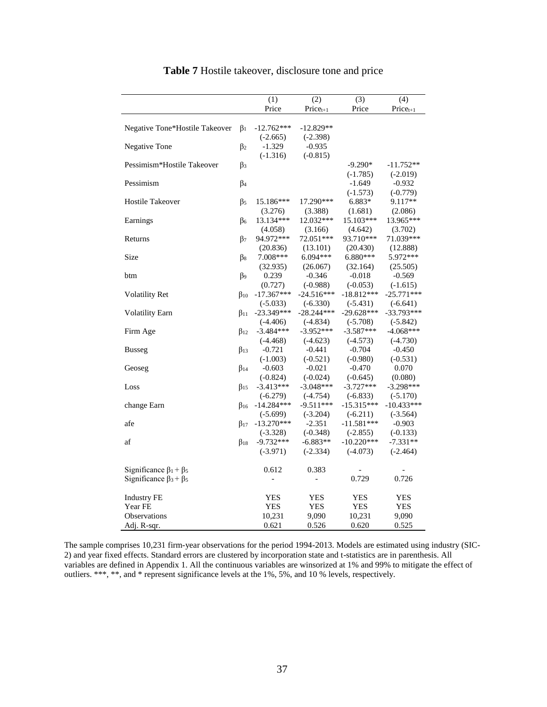|                                  |                      | (1)                      | (2)            | (3)          | (4)           |
|----------------------------------|----------------------|--------------------------|----------------|--------------|---------------|
|                                  |                      | Price                    | $Price_{t+1}$  | Price        | $Price_{t+1}$ |
|                                  |                      |                          |                |              |               |
| Negative Tone*Hostile Takeover   | $\beta_1$            | $-12.762***$             | $-12.829**$    |              |               |
|                                  |                      | $(-2.665)$               | $(-2.398)$     |              |               |
| Negative Tone                    | $\beta_2$            | $-1.329$                 | $-0.935$       |              |               |
|                                  |                      | $(-1.316)$               | $(-0.815)$     |              |               |
| Pessimism*Hostile Takeover       | β3                   |                          |                | $-9.290*$    | $-11.752**$   |
|                                  |                      |                          |                | $(-1.785)$   | $(-2.019)$    |
| Pessimism                        | $\beta_4$            |                          |                | $-1.649$     | $-0.932$      |
|                                  |                      |                          |                | $(-1.573)$   | $(-0.779)$    |
| <b>Hostile Takeover</b>          | β5                   | 15.186***                | 17.290***      | 6.883*       | 9.117**       |
|                                  |                      | (3.276)                  | (3.388)        | (1.681)      | (2.086)       |
| Earnings                         | $\beta_6$            | 13.134***                | 12.032***      | 15.103***    | 13.965***     |
|                                  |                      | (4.058)                  | (3.166)        | (4.642)      | (3.702)       |
| Returns                          | $\beta_7$            | 94.972 ***               | 72.051***      | 93.710***    | 71.039***     |
|                                  |                      | (20.836)                 | (13.101)       | (20.430)     | (12.888)      |
| Size                             | $\beta$ <sub>8</sub> | 7.008***                 | $6.094***$     | $6.880***$   | 5.972 ***     |
|                                  |                      | (32.935)                 | (26.067)       | (32.164)     | (25.505)      |
| btm                              | $\beta$              | 0.239                    | $-0.346$       | $-0.018$     | $-0.569$      |
|                                  |                      | (0.727)                  | $(-0.988)$     | $(-0.053)$   | $(-1.615)$    |
| <b>Volatility Ret</b>            | $\beta_{10}$         | $-17.367***$             | $-24.516***$   | $-18.812***$ | $-25.771***$  |
|                                  |                      | $(-5.033)$               | $(-6.330)$     | $(-5.431)$   | $(-6.641)$    |
| <b>Volatility Earn</b>           | $\beta_{11}$         | $-23.349***$             | $-28.244***$   | $-29.628***$ | $-33.793***$  |
|                                  |                      | $(-4.406)$               | $(-4.834)$     | $(-5.708)$   | $(-5.842)$    |
| Firm Age                         | $\beta_{12}$         | $-3.484***$              | $-3.952***$    | $-3.587***$  | $-4.068***$   |
|                                  |                      | $(-4.468)$               | $(-4.623)$     | $(-4.573)$   | $(-4.730)$    |
|                                  | $\beta_{13}$         | $-0.721$                 | $-0.441$       | $-0.704$     | $-0.450$      |
| <b>Busseg</b>                    |                      |                          | $(-0.521)$     |              | $(-0.531)$    |
|                                  |                      | $(-1.003)$               |                | $(-0.980)$   |               |
| Geoseg                           | $\beta_{14}$         | $-0.603$                 | $-0.021$       | $-0.470$     | 0.070         |
|                                  |                      | $(-0.824)$               | $(-0.024)$     | $(-0.645)$   | (0.080)       |
| Loss                             | $\beta_{15}$         | $-3.413***$              | $-3.048***$    | $-3.727***$  | $-3.298***$   |
|                                  |                      | $(-6.279)$               | $(-4.754)$     | $(-6.833)$   | $(-5.170)$    |
| change Earn                      | $\beta_{16}$         | $-14.284***$             | $-9.511***$    | $-15.315***$ | $-10.433***$  |
|                                  |                      | $(-5.699)$               | $(-3.204)$     | $(-6.211)$   | $(-3.564)$    |
| afe                              | $\beta_{17}$         | $-13.270***$             | $-2.351$       | $-11.581***$ | $-0.903$      |
|                                  |                      | $(-3.328)$               | $(-0.348)$     | $(-2.855)$   | $(-0.133)$    |
| $\operatorname{af}$              | $\beta_{18}$         | $-9.732***$              | $-6.883**$     | $-10.220***$ | $-7.331**$    |
|                                  |                      | $(-3.971)$               | $(-2.334)$     | $(-4.073)$   | $(-2.464)$    |
| Significance $\beta_1 + \beta_5$ |                      | 0.612                    | 0.383          |              |               |
|                                  |                      |                          |                |              |               |
| Significance $\beta_3 + \beta_5$ |                      | $\overline{\phantom{0}}$ | $\overline{a}$ | 0.729        | 0.726         |
| <b>Industry FE</b>               |                      | YES                      | <b>YES</b>     | <b>YES</b>   | <b>YES</b>    |
| Year FE                          |                      | <b>YES</b>               | <b>YES</b>     | <b>YES</b>   | <b>YES</b>    |
| Observations                     |                      | 10,231                   | 9,090          | 10,231       | 9,090         |
| Adj. R-sqr.                      |                      | 0.621                    | 0.526          | 0.620        | 0.525         |
|                                  |                      |                          |                |              |               |

# **Table 7** Hostile takeover, disclosure tone and price

The sample comprises 10,231 firm-year observations for the period 1994-2013. Models are estimated using industry (SIC-2) and year fixed effects. Standard errors are clustered by incorporation state and t-statistics are in parenthesis. All variables are defined in Appendix 1. All the continuous variables are winsorized at 1% and 99% to mitigate the effect of outliers. \*\*\*, \*\*, and \* represent significance levels at the 1%, 5%, and 10 % levels, respectively.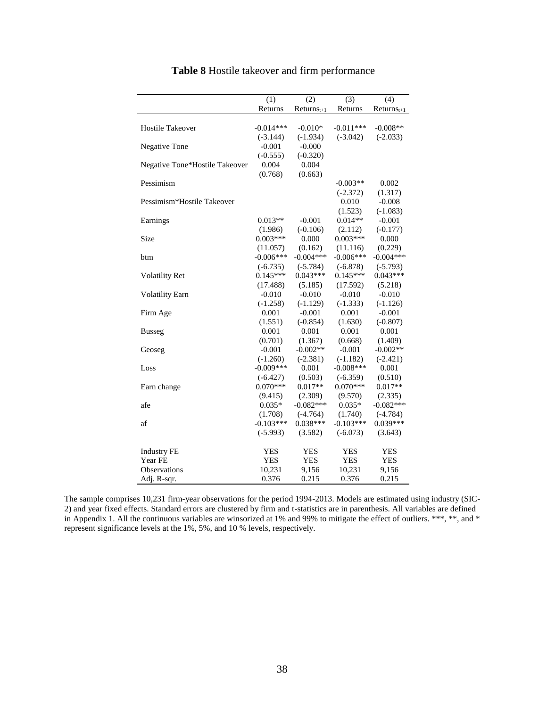|                                | $\overline{(1)}$ | $\overline{2}$ | $\overline{(3)}$ | (4)           |
|--------------------------------|------------------|----------------|------------------|---------------|
|                                | Returns          | $Returnst+1$   | Returns          | $Retturnst+1$ |
|                                |                  |                |                  |               |
| <b>Hostile Takeover</b>        | $-0.014***$      | $-0.010*$      | $-0.011***$      | $-0.008**$    |
|                                | $(-3.144)$       | $(-1.934)$     | $(-3.042)$       | $(-2.033)$    |
| Negative Tone                  | $-0.001$         | $-0.000$       |                  |               |
|                                | $(-0.555)$       | $(-0.320)$     |                  |               |
| Negative Tone*Hostile Takeover | 0.004            | 0.004          |                  |               |
|                                | (0.768)          | (0.663)        |                  |               |
| Pessimism                      |                  |                | $-0.003**$       | 0.002         |
|                                |                  |                | $(-2.372)$       | (1.317)       |
| Pessimism*Hostile Takeover     |                  |                | 0.010            | $-0.008$      |
|                                |                  |                | (1.523)          | $(-1.083)$    |
| Earnings                       | $0.013**$        | $-0.001$       | $0.014**$        | $-0.001$      |
|                                | (1.986)          | $(-0.106)$     | (2.112)          | $(-0.177)$    |
| <b>Size</b>                    | $0.003***$       | 0.000          | $0.003***$       | 0.000         |
|                                | (11.057)         | (0.162)        | (11.116)         | (0.229)       |
| btm                            | $-0.006***$      | $-0.004***$    | $-0.006***$      | $-0.004***$   |
|                                | $(-6.735)$       | $(-5.784)$     | $(-6.878)$       | $(-5.793)$    |
| <b>Volatility Ret</b>          | $0.145***$       | $0.043***$     | $0.145***$       | $0.043***$    |
|                                | (17.488)         | (5.185)        | (17.592)         | (5.218)       |
| <b>Volatility Earn</b>         | $-0.010$         | $-0.010$       | $-0.010$         | $-0.010$      |
|                                | $(-1.258)$       | $(-1.129)$     | $(-1.333)$       | $(-1.126)$    |
| Firm Age                       | 0.001            | $-0.001$       | 0.001            | $-0.001$      |
|                                | (1.551)          | $(-0.854)$     | (1.630)          | $(-0.807)$    |
| <b>Busseg</b>                  | 0.001            | 0.001          | 0.001            | 0.001         |
|                                | (0.701)          | (1.367)        | (0.668)          | (1.409)       |
| Geoseg                         | $-0.001$         | $-0.002**$     | $-0.001$         | $-0.002**$    |
|                                | $(-1.260)$       | $(-2.381)$     | $(-1.182)$       | $(-2.421)$    |
| Loss                           | $-0.009***$      | 0.001          | $-0.008***$      | 0.001         |
|                                | $(-6.427)$       | (0.503)        | $(-6.359)$       | (0.510)       |
| Earn change                    | $0.070***$       | $0.017**$      | $0.070***$       | $0.017**$     |
|                                | (9.415)          | (2.309)        | (9.570)          | (2.335)       |
| afe                            | $0.035*$         | $-0.082***$    | $0.035*$         | $-0.082***$   |
|                                | (1.708)          | $(-4.764)$     | (1.740)          | $(-4.784)$    |
| af                             | $-0.103***$      | $0.038***$     | $-0.103***$      | $0.039***$    |
|                                | $(-5.993)$       | (3.582)        | $(-6.073)$       | (3.643)       |
|                                |                  |                |                  |               |
| <b>Industry FE</b><br>Year FE  | YES              | <b>YES</b>     | <b>YES</b>       | <b>YES</b>    |
| Observations                   | <b>YES</b>       | <b>YES</b>     | <b>YES</b>       | <b>YES</b>    |
|                                | 10,231           | 9,156          | 10,231           | 9,156         |
| Adj. R-sqr.                    | 0.376            | 0.215          | 0.376            | 0.215         |

# **Table 8** Hostile takeover and firm performance

The sample comprises 10,231 firm-year observations for the period 1994-2013. Models are estimated using industry (SIC-2) and year fixed effects. Standard errors are clustered by firm and t-statistics are in parenthesis. All variables are defined in Appendix 1. All the continuous variables are winsorized at 1% and 99% to mitigate the effect of outliers. \*\*\*, \*\*, and \* represent significance levels at the 1%, 5%, and 10 % levels, respectively.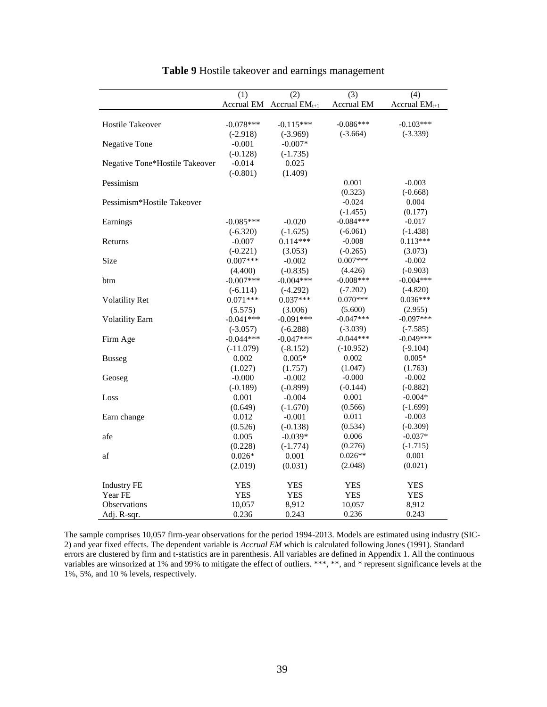|                                | (1)         | (2)                | (3)         | (4)                |
|--------------------------------|-------------|--------------------|-------------|--------------------|
|                                | Accrual EM  | Accrual $EM_{t+1}$ | Accrual EM  | Accrual $EM_{t+1}$ |
|                                |             |                    |             |                    |
| <b>Hostile Takeover</b>        | $-0.078***$ | $-0.115***$        | $-0.086***$ | $-0.103***$        |
|                                | $(-2.918)$  | $(-3.969)$         | $(-3.664)$  | $(-3.339)$         |
| Negative Tone                  | $-0.001$    | $-0.007*$          |             |                    |
|                                | $(-0.128)$  | $(-1.735)$         |             |                    |
| Negative Tone*Hostile Takeover | $-0.014$    | 0.025              |             |                    |
|                                | $(-0.801)$  | (1.409)            |             |                    |
| Pessimism                      |             |                    | 0.001       | $-0.003$           |
|                                |             |                    | (0.323)     | $(-0.668)$         |
| Pessimism*Hostile Takeover     |             |                    | $-0.024$    | 0.004              |
|                                |             |                    | $(-1.455)$  | (0.177)            |
| Earnings                       | $-0.085***$ | $-0.020$           | $-0.084***$ | $-0.017$           |
|                                | $(-6.320)$  | $(-1.625)$         | $(-6.061)$  | $(-1.438)$         |
| Returns                        | $-0.007$    | $0.114***$         | $-0.008$    | $0.113***$         |
|                                | $(-0.221)$  | (3.053)            | $(-0.265)$  | (3.073)            |
| Size                           | $0.007***$  | $-0.002$           | $0.007***$  | $-0.002$           |
|                                | (4.400)     | $(-0.835)$         | (4.426)     | $(-0.903)$         |
| btm                            | $-0.007***$ | $-0.004***$        | $-0.008***$ | $-0.004***$        |
|                                | $(-6.114)$  | $(-4.292)$         | $(-7.202)$  | $(-4.820)$         |
| <b>Volatility Ret</b>          | $0.071***$  | $0.037***$         | $0.070***$  | $0.036***$         |
|                                | (5.575)     | (3.006)            | (5.600)     | (2.955)            |
| <b>Volatility Earn</b>         | $-0.041***$ | $-0.091***$        | $-0.047***$ | $-0.097***$        |
|                                | $(-3.057)$  | $(-6.288)$         | $(-3.039)$  | $(-7.585)$         |
| Firm Age                       | $-0.044***$ | $-0.047***$        | $-0.044***$ | $-0.049***$        |
|                                | $(-11.079)$ | $(-8.152)$         | $(-10.952)$ | $(-9.104)$         |
| <b>Busseg</b>                  | 0.002       | $0.005*$           | 0.002       | $0.005*$           |
|                                | (1.027)     | (1.757)            | (1.047)     | (1.763)            |
| Geoseg                         | $-0.000$    | $-0.002$           | $-0.000$    | $-0.002$           |
|                                | $(-0.189)$  | $(-0.899)$         | $(-0.144)$  | $(-0.882)$         |
| Loss                           | 0.001       | $-0.004$           | 0.001       | $-0.004*$          |
|                                | (0.649)     | $(-1.670)$         | (0.566)     | $(-1.699)$         |
| Earn change                    | 0.012       | $-0.001$           | 0.011       | $-0.003$           |
|                                | (0.526)     | $(-0.138)$         | (0.534)     | $(-0.309)$         |
| afe                            | 0.005       | $-0.039*$          | 0.006       | $-0.037*$          |
|                                | (0.228)     | $(-1.774)$         | (0.276)     | $(-1.715)$         |
| af                             | $0.026*$    | 0.001              | $0.026**$   | 0.001              |
|                                | (2.019)     | (0.031)            | (2.048)     | (0.021)            |
|                                |             |                    |             |                    |
| <b>Industry FE</b>             | <b>YES</b>  | <b>YES</b>         | <b>YES</b>  | <b>YES</b>         |
| Year FE                        | <b>YES</b>  | <b>YES</b>         | <b>YES</b>  | <b>YES</b>         |
| Observations                   | 10,057      | 8,912              | 10,057      | 8,912              |
| Adj. R-sqr.                    | 0.236       | 0.243              | 0.236       | 0.243              |

# **Table 9** Hostile takeover and earnings management

The sample comprises 10,057 firm-year observations for the period 1994-2013. Models are estimated using industry (SIC-2) and year fixed effects. The dependent variable is *Accrual EM* which is calculated following Jones (1991). Standard errors are clustered by firm and t-statistics are in parenthesis. All variables are defined in Appendix 1. All the continuous variables are winsorized at 1% and 99% to mitigate the effect of outliers. \*\*\*, \*\*, and \* represent significance levels at the 1%, 5%, and 10 % levels, respectively.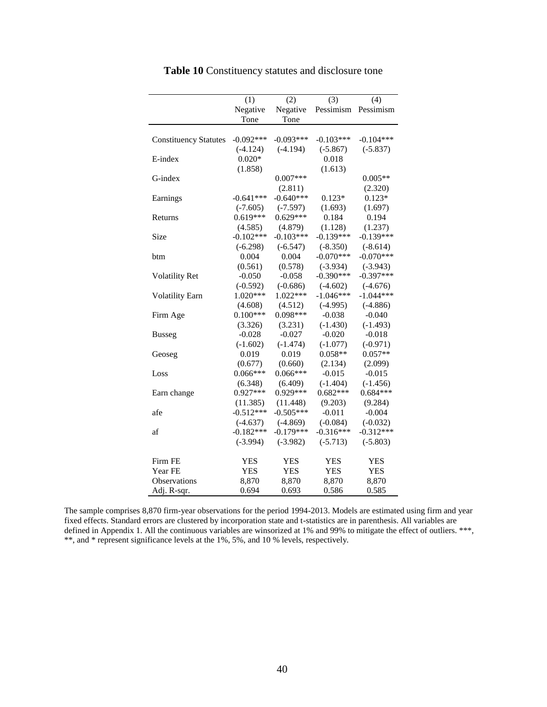|                              | (1)         | (2)         | (3)         | (4)         |
|------------------------------|-------------|-------------|-------------|-------------|
|                              | Negative    | Negative    | Pessimism   | Pessimism   |
|                              | Tone        | Tone        |             |             |
|                              |             |             |             |             |
| <b>Constituency Statutes</b> | $-0.092***$ | $-0.093***$ | $-0.103***$ | $-0.104***$ |
|                              | $(-4.124)$  | $(-4.194)$  | $(-5.867)$  | $(-5.837)$  |
| E-index                      | $0.020*$    |             | 0.018       |             |
|                              | (1.858)     |             | (1.613)     |             |
| G-index                      |             | $0.007***$  |             | $0.005**$   |
|                              |             | (2.811)     |             | (2.320)     |
| Earnings                     | $-0.641***$ | $-0.640***$ | $0.123*$    | $0.123*$    |
|                              | $(-7.605)$  | $(-7.597)$  | (1.693)     | (1.697)     |
| Returns                      | $0.619***$  | $0.629***$  | 0.184       | 0.194       |
|                              | (4.585)     | (4.879)     | (1.128)     | (1.237)     |
| Size                         | $-0.102***$ | $-0.103***$ | $-0.139***$ | $-0.139***$ |
|                              | $(-6.298)$  | $(-6.547)$  | $(-8.350)$  | $(-8.614)$  |
| btm                          | 0.004       | 0.004       | $-0.070***$ | $-0.070***$ |
|                              | (0.561)     | (0.578)     | $(-3.934)$  | $(-3.943)$  |
| <b>Volatility Ret</b>        | $-0.050$    | $-0.058$    | $-0.390***$ | $-0.397***$ |
|                              | $(-0.592)$  | $(-0.686)$  | $(-4.602)$  | $(-4.676)$  |
| <b>Volatility Earn</b>       | 1.020***    | $1.022***$  | $-1.046***$ | $-1.044***$ |
|                              | (4.608)     | (4.512)     | $(-4.995)$  | $(-4.886)$  |
| Firm Age                     | $0.100***$  | $0.098***$  | $-0.038$    | $-0.040$    |
|                              | (3.326)     | (3.231)     | $(-1.430)$  | $(-1.493)$  |
| <b>Busseg</b>                | $-0.028$    | $-0.027$    | $-0.020$    | $-0.018$    |
|                              | $(-1.602)$  | $(-1.474)$  | $(-1.077)$  | $(-0.971)$  |
| Geoseg                       | 0.019       | 0.019       | $0.058**$   | $0.057**$   |
|                              | (0.677)     | (0.660)     | (2.134)     | (2.099)     |
| Loss                         | $0.066***$  | $0.066***$  | $-0.015$    | $-0.015$    |
|                              | (6.348)     | (6.409)     | $(-1.404)$  | $(-1.456)$  |
| Earn change                  | $0.927***$  | $0.929***$  | $0.682***$  | $0.684***$  |
|                              | (11.385)    | (11.448)    | (9.203)     | (9.284)     |
| afe                          | $-0.512***$ | $-0.505***$ | $-0.011$    | $-0.004$    |
|                              | $(-4.637)$  | $(-4.869)$  | $(-0.084)$  | $(-0.032)$  |
| af                           | $-0.182***$ | $-0.179***$ | $-0.316***$ | $-0.312***$ |
|                              | $(-3.994)$  | $(-3.982)$  | $(-5.713)$  | $(-5.803)$  |
| Firm FE                      | <b>YES</b>  | <b>YES</b>  | <b>YES</b>  | <b>YES</b>  |
| Year FE                      | <b>YES</b>  | <b>YES</b>  | <b>YES</b>  | <b>YES</b>  |
| Observations                 | 8,870       | 8,870       | 8,870       | 8,870       |
| Adj. R-sqr.                  | 0.694       | 0.693       | 0.586       | 0.585       |

**Table 10** Constituency statutes and disclosure tone

The sample comprises 8,870 firm-year observations for the period 1994-2013. Models are estimated using firm and year fixed effects. Standard errors are clustered by incorporation state and t-statistics are in parenthesis. All variables are defined in Appendix 1. All the continuous variables are winsorized at 1% and 99% to mitigate the effect of outliers. \*\*\*, \*\*, and \* represent significance levels at the 1%, 5%, and 10 % levels, respectively.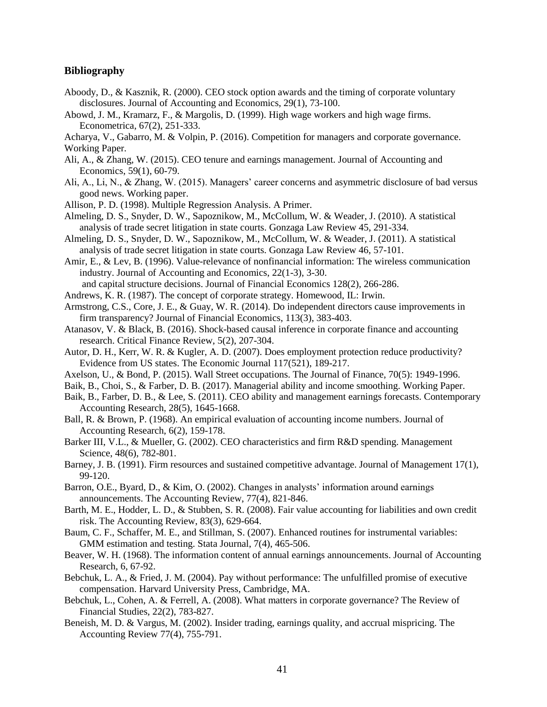#### **Bibliography**

- Aboody, D., & Kasznik, R. (2000). CEO stock option awards and the timing of corporate voluntary disclosures. Journal of Accounting and Economics, 29(1), 73-100.
- Abowd, J. M., Kramarz, F., & Margolis, D. (1999). High wage workers and high wage firms. Econometrica, 67(2), 251-333.

Acharya, V., Gabarro, M. & Volpin, P. (2016). Competition for managers and corporate governance. Working Paper.

- Ali, A., & Zhang, W. (2015). CEO tenure and earnings management. Journal of Accounting and Economics, 59(1), 60-79.
- Ali, A., Li, N., & Zhang, W. (2015). Managers' career concerns and asymmetric disclosure of bad versus good news. Working paper.
- Allison, P. D. (1998). Multiple Regression Analysis. A Primer.
- Almeling, D. S., Snyder, D. W., Sapoznikow, M., McCollum, W. & Weader, J. (2010). A statistical analysis of trade secret litigation in state courts. Gonzaga Law Review 45, 291-334.
- Almeling, D. S., Snyder, D. W., Sapoznikow, M., McCollum, W. & Weader, J. (2011). A statistical analysis of trade secret litigation in state courts. Gonzaga Law Review 46, 57-101.
- Amir, E., & Lev, B. (1996). Value-relevance of nonfinancial information: The wireless communication industry. Journal of Accounting and Economics, 22(1-3), 3-30. and capital structure decisions. Journal of Financial Economics 128(2), 266-286.
- Andrews, K. R. (1987). The concept of corporate strategy. Homewood, IL: Irwin.
- Armstrong, C.S., Core, J. E., & Guay, W. R. (2014). Do independent directors cause improvements in firm transparency? Journal of Financial Economics, 113(3), 383-403.
- Atanasov, V. & Black, B. (2016). Shock-based causal inference in corporate finance and accounting research. Critical Finance Review, 5(2), 207-304.
- Autor, D. H., Kerr, W. R. & Kugler, A. D. (2007). Does employment protection reduce productivity? Evidence from US states. The Economic Journal 117(521), 189-217.
- Axelson, U., & Bond, P. (2015). Wall Street occupations. The Journal of Finance, 70(5): 1949-1996.
- Baik, B., Choi, S., & Farber, D. B. (2017). Managerial ability and income smoothing. Working Paper.
- Baik, B., Farber, D. B., & Lee, S. (2011). CEO ability and management earnings forecasts. Contemporary Accounting Research, 28(5), 1645-1668.
- Ball, R. & Brown, P. (1968). An empirical evaluation of accounting income numbers. Journal of Accounting Research, 6(2), 159-178.
- Barker III, V.L., & Mueller, G. (2002). CEO characteristics and firm R&D spending. Management Science, 48(6), 782-801.
- Barney, J. B. (1991). Firm resources and sustained competitive advantage. Journal of Management 17(1), 99-120.
- Barron, O.E., Byard, D., & Kim, O. (2002). Changes in analysts' information around earnings announcements. The Accounting Review, 77(4), 821-846.
- Barth, M. E., Hodder, L. D., & Stubben, S. R. (2008). Fair value accounting for liabilities and own credit risk. The Accounting Review, 83(3), 629-664.
- Baum, C. F., Schaffer, M. E., and Stillman, S. (2007). Enhanced routines for instrumental variables: GMM estimation and testing. [Stata Journal,](https://econpapers.repec.org/article/tsjstataj/) 7(4), 465-506.
- Beaver, W. H. (1968). The information content of annual earnings announcements. Journal of Accounting Research, 6, 67-92.
- Bebchuk, L. A., & Fried, J. M. (2004). Pay without performance: The unfulfilled promise of executive compensation. Harvard University Press, Cambridge, MA.
- Bebchuk, L., Cohen, A. & Ferrell, A. (2008). What matters in corporate governance? The Review of Financial Studies, 22(2), 783-827.
- Beneish, M. D. & Vargus, M. (2002). Insider trading, earnings quality, and accrual mispricing. The Accounting Review 77(4), 755-791.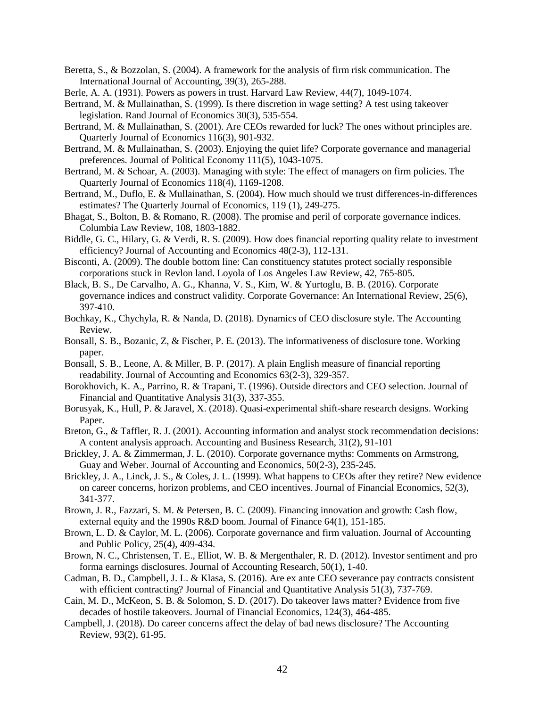- Beretta, S., & Bozzolan, S. (2004). A framework for the analysis of firm risk communication. The International Journal of Accounting, 39(3), 265-288.
- Berle, A. A. (1931). Powers as powers in trust. Harvard Law Review, 44(7), 1049-1074.
- Bertrand, M. & Mullainathan, S. (1999). Is there discretion in wage setting? A test using takeover legislation. Rand Journal of Economics 30(3), 535-554.
- Bertrand, M. & Mullainathan, S. (2001). Are CEOs rewarded for luck? The ones without principles are. Quarterly Journal of Economics 116(3), 901-932.
- Bertrand, M. & Mullainathan, S. (2003). Enjoying the quiet life? Corporate governance and managerial preferences. Journal of Political Economy 111(5), 1043-1075.
- Bertrand, M. & Schoar, A. (2003). Managing with style: The effect of managers on firm policies. The Quarterly Journal of Economics 118(4), 1169-1208.
- Bertrand, M., Duflo, E. & Mullainathan, S. (2004). How much should we trust differences-in-differences estimates? The Quarterly Journal of Economics, 119 (1), 249-275.
- Bhagat, S., Bolton, B. & Romano, R. (2008). The promise and peril of corporate governance indices. Columbia Law Review, 108, 1803-1882.
- Biddle, G. C., Hilary, G. & Verdi, R. S. (2009). How does financial reporting quality relate to investment efficiency? Journal of Accounting and Economics 48(2-3), 112-131.
- Bisconti, A. (2009). The double bottom line: Can constituency statutes protect socially responsible corporations stuck in Revlon land. Loyola of Los Angeles Law Review, 42, 765-805.
- Black, B. S., De Carvalho, A. G., Khanna, V. S., Kim, W. & Yurtoglu, B. B. (2016). Corporate governance indices and construct validity. Corporate Governance: An International Review, 25(6), 397-410.
- Bochkay, K., Chychyla, R. & Nanda, D. (2018). Dynamics of CEO disclosure style. The Accounting Review.
- Bonsall, S. B., Bozanic, Z, & Fischer, P. E. (2013). The informativeness of disclosure tone. Working paper.
- Bonsall, S. B., Leone, A. & Miller, B. P. (2017). A plain English measure of financial reporting readability. Journal of Accounting and Economics 63(2-3), 329-357.
- Borokhovich, K. A., Parrino, R. & Trapani, T. (1996). Outside directors and CEO selection. Journal of Financial and Quantitative Analysis 31(3), 337-355.
- Borusyak, K., Hull, P. & Jaravel, X. (2018). Quasi-experimental shift-share research designs. Working Paper.
- Breton, G., & Taffler, R. J. (2001). Accounting information and analyst stock recommendation decisions: A content analysis approach. Accounting and Business Research, 31(2), 91-101
- Brickley, J. A. & Zimmerman, J. L. (2010). Corporate governance myths: Comments on Armstrong, Guay and Weber. Journal of Accounting and Economics, 50(2-3), 235-245.
- Brickley, J. A., Linck, J. S., & Coles, J. L. (1999). What happens to CEOs after they retire? New evidence on career concerns, horizon problems, and CEO incentives. Journal of Financial Economics, 52(3), 341-377.
- Brown, J. R., Fazzari, S. M. & Petersen, B. C. (2009). Financing innovation and growth: Cash flow, external equity and the 1990s R&D boom. Journal of Finance 64(1), 151-185.
- Brown, L. D. & Caylor, M. L. (2006). Corporate governance and firm valuation. Journal of Accounting and Public Policy, 25(4), 409-434.
- Brown, N. C., Christensen, T. E., Elliot, W. B. & Mergenthaler, R. D. (2012). Investor sentiment and pro forma earnings disclosures. Journal of Accounting Research, 50(1), 1-40.
- Cadman, B. D., Campbell, J. L. & Klasa, S. (2016). Are ex ante CEO severance pay contracts consistent with efficient contracting? Journal of Financial and Quantitative Analysis 51(3), 737-769.
- Cain, M. D., McKeon, S. B. & Solomon, S. D. (2017). Do takeover laws matter? Evidence from five decades of hostile takeovers. Journal of Financial Economics, 124(3), 464-485.
- Campbell, J. (2018). Do career concerns affect the delay of bad news disclosure? The Accounting Review, 93(2), 61-95.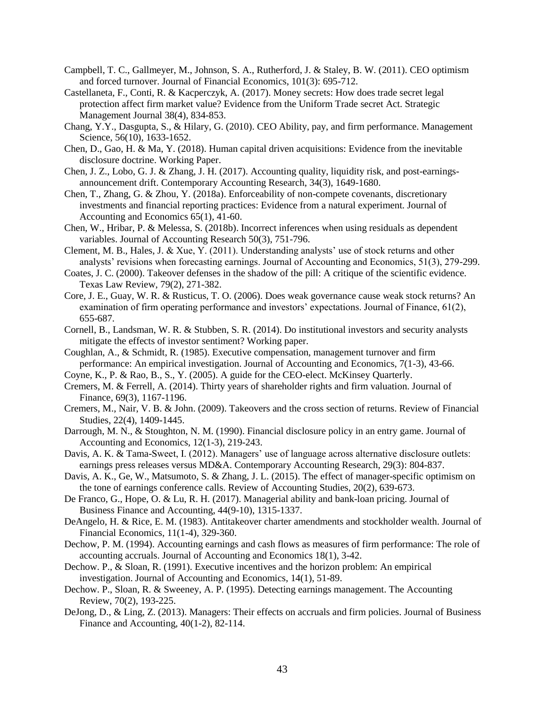- Campbell, T. C., Gallmeyer, M., Johnson, S. A., Rutherford, J. & Staley, B. W. (2011). CEO optimism and forced turnover. Journal of Financial Economics, 101(3): 695-712.
- Castellaneta, F., Conti, R. & Kacperczyk, A. (2017). Money secrets: How does trade secret legal protection affect firm market value? Evidence from the Uniform Trade secret Act. Strategic Management Journal 38(4), 834-853.
- Chang, Y.Y., Dasgupta, S., & Hilary, G. (2010). CEO Ability, pay, and firm performance. Management Science, 56(10), 1633-1652.
- Chen, D., Gao, H. & Ma, Y. (2018). Human capital driven acquisitions: Evidence from the inevitable disclosure doctrine. Working Paper.
- Chen, J. Z., Lobo, G. J. & Zhang, J. H. (2017). Accounting quality, liquidity risk, and post-earningsannouncement drift. Contemporary Accounting Research, 34(3), 1649-1680.
- Chen, T., Zhang, G. & Zhou, Y. (2018a). Enforceability of non-compete covenants, discretionary investments and financial reporting practices: Evidence from a natural experiment. Journal of Accounting and Economics 65(1), 41-60.
- Chen, W., Hribar, P. & Melessa, S. (2018b). Incorrect inferences when using residuals as dependent variables. Journal of Accounting Research 50(3), 751-796.
- Clement, M. B., Hales, J. & Xue, Y. (2011). Understanding analysts' use of stock returns and other analysts' revisions when forecasting earnings. Journal of Accounting and Economics, 51(3), 279-299.
- Coates, J. C. (2000). Takeover defenses in the shadow of the pill: A critique of the scientific evidence. Texas Law Review, 79(2), 271-382.
- Core, J. E., Guay, W. R. & Rusticus, T. O. (2006). Does weak governance cause weak stock returns? An examination of firm operating performance and investors' expectations. Journal of Finance, 61(2), 655-687.
- Cornell, B., Landsman, W. R. & Stubben, S. R. (2014). Do institutional investors and security analysts mitigate the effects of investor sentiment? Working paper.
- Coughlan, A., & Schmidt, R. (1985). Executive compensation, management turnover and firm performance: An empirical investigation. Journal of Accounting and Economics, 7(1-3), 43-66.
- Coyne, K., P. & Rao, B., S., Y. (2005). A guide for the CEO-elect. McKinsey Quarterly.
- Cremers, M. & Ferrell, A. (2014). Thirty years of shareholder rights and firm valuation. Journal of Finance, 69(3), 1167-1196.
- Cremers, M., Nair, V. B. & John. (2009). Takeovers and the cross section of returns. Review of Financial Studies, 22(4), 1409-1445.
- Darrough, M. N., & Stoughton, N. M. (1990). Financial disclosure policy in an entry game. Journal of Accounting and Economics, 12(1-3), 219-243.
- Davis, A. K. & Tama-Sweet, I. (2012). Managers' use of language across alternative disclosure outlets: earnings press releases versus MD&A. Contemporary Accounting Research, 29(3): 804-837.
- Davis, A. K., Ge, W., Matsumoto, S. & Zhang, J. L. (2015). The effect of manager-specific optimism on the tone of earnings conference calls. Review of Accounting Studies, 20(2), 639-673.
- De Franco, G., Hope, O. & Lu, R. H. (2017). Managerial ability and bank-loan pricing. Journal of Business Finance and Accounting, 44(9-10), 1315-1337.
- DeAngelo, H. & Rice, E. M. (1983). Antitakeover charter amendments and stockholder wealth. Journal of Financial Economics, 11(1-4), 329-360.
- Dechow, P. M. (1994). Accounting earnings and cash flows as measures of firm performance: The role of accounting accruals. Journal of Accounting and Economics 18(1), 3-42.
- Dechow. P., & Sloan, R. (1991). Executive incentives and the horizon problem: An empirical investigation. Journal of Accounting and Economics, 14(1), 51-89.
- Dechow. P., Sloan, R. & Sweeney, A. P. (1995). Detecting earnings management. The Accounting Review, 70(2), 193-225.
- DeJong, D., & Ling, Z. (2013). Managers: Their effects on accruals and firm policies. Journal of Business Finance and Accounting, 40(1-2), 82-114.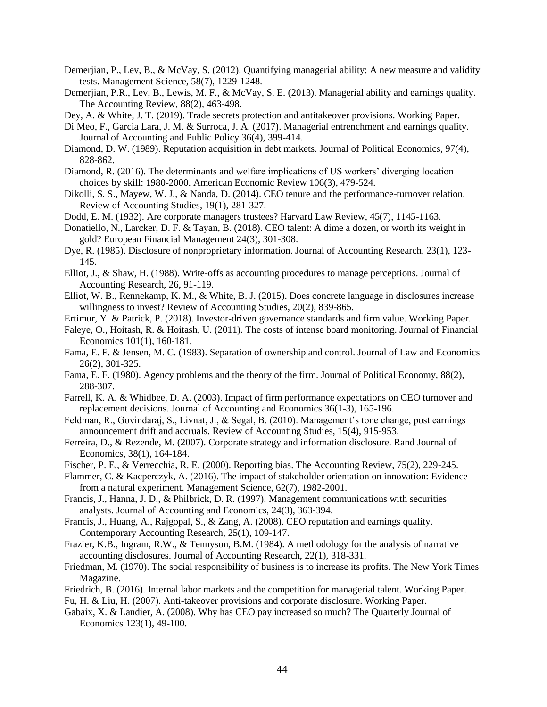- Demerjian, P., Lev, B., & McVay, S. (2012). Quantifying managerial ability: A new measure and validity tests. Management Science, 58(7), 1229-1248.
- Demerjian, P.R., Lev, B., Lewis, M. F., & McVay, S. E. (2013). Managerial ability and earnings quality. The Accounting Review, 88(2), 463-498.

Dey, A. & White, J. T. (2019). Trade secrets protection and antitakeover provisions. Working Paper.

- Di Meo, F., Garcia Lara, J. M. & Surroca, J. A. (2017). Managerial entrenchment and earnings quality. Journal of Accounting and Public Policy 36(4), 399-414.
- Diamond, D. W. (1989). Reputation acquisition in debt markets. Journal of Political Economics, 97(4), 828-862.
- Diamond, R. (2016). The determinants and welfare implications of US workers' diverging location choices by skill: 1980-2000. American Economic Review 106(3), 479-524.
- Dikolli, S. S., Mayew, W. J., & Nanda, D. (2014). CEO tenure and the performance-turnover relation. Review of Accounting Studies, 19(1), 281-327.
- Dodd, E. M. (1932). Are corporate managers trustees? Harvard Law Review, 45(7), 1145-1163.
- Donatiello, N., Larcker, D. F. & Tayan, B. (2018). CEO talent: A dime a dozen, or worth its weight in gold? European Financial Management 24(3), 301-308.
- Dye, R. (1985). Disclosure of nonproprietary information. Journal of Accounting Research, 23(1), 123- 145.
- Elliot, J., & Shaw, H. (1988). Write-offs as accounting procedures to manage perceptions. Journal of Accounting Research, 26, 91-119.
- Elliot, W. B., Rennekamp, K. M., & White, B. J. (2015). Does concrete language in disclosures increase willingness to invest? Review of Accounting Studies, 20(2), 839-865.
- Ertimur, Y. & Patrick, P. (2018). Investor-driven governance standards and firm value. Working Paper.
- Faleye, O., Hoitash, R. & Hoitash, U. (2011). The costs of intense board monitoring. Journal of Financial Economics 101(1), 160-181.
- Fama, E. F. & Jensen, M. C. (1983). Separation of ownership and control. Journal of Law and Economics 26(2), 301-325.
- Fama, E. F. (1980). Agency problems and the theory of the firm. Journal of Political Economy, 88(2), 288-307.
- Farrell, K. A. & Whidbee, D. A. (2003). Impact of firm performance expectations on CEO turnover and replacement decisions. Journal of Accounting and Economics 36(1-3), 165-196.
- Feldman, R., Govindaraj, S., Livnat, J., & Segal, B. (2010). Management's tone change, post earnings announcement drift and accruals. Review of Accounting Studies, 15(4), 915-953.
- Ferreira, D., & Rezende, M. (2007). Corporate strategy and information disclosure. Rand Journal of Economics, 38(1), 164-184.
- Fischer, P. E., & Verrecchia, R. E. (2000). Reporting bias. The Accounting Review, 75(2), 229-245.
- Flammer, C. & Kacperczyk, A. (2016). The impact of stakeholder orientation on innovation: Evidence from a natural experiment. Management Science, 62(7), 1982-2001.
- Francis, J., Hanna, J. D., & Philbrick, D. R. (1997). Management communications with securities analysts. Journal of Accounting and Economics, 24(3), 363-394.
- Francis, J., Huang, A., Rajgopal, S., & Zang, A. (2008). CEO reputation and earnings quality. Contemporary Accounting Research, 25(1), 109-147.
- Frazier, K.B., Ingram, R.W., & Tennyson, B.M. (1984). A methodology for the analysis of narrative accounting disclosures. Journal of Accounting Research, 22(1), 318-331.
- Friedman, M. (1970). The social responsibility of business is to increase its profits. The New York Times Magazine.
- Friedrich, B. (2016). Internal labor markets and the competition for managerial talent. Working Paper.
- Fu, H. & Liu, H. (2007). Anti-takeover provisions and corporate disclosure. Working Paper.
- Gabaix, X. & Landier, A. (2008). Why has CEO pay increased so much? The Quarterly Journal of Economics 123(1), 49-100.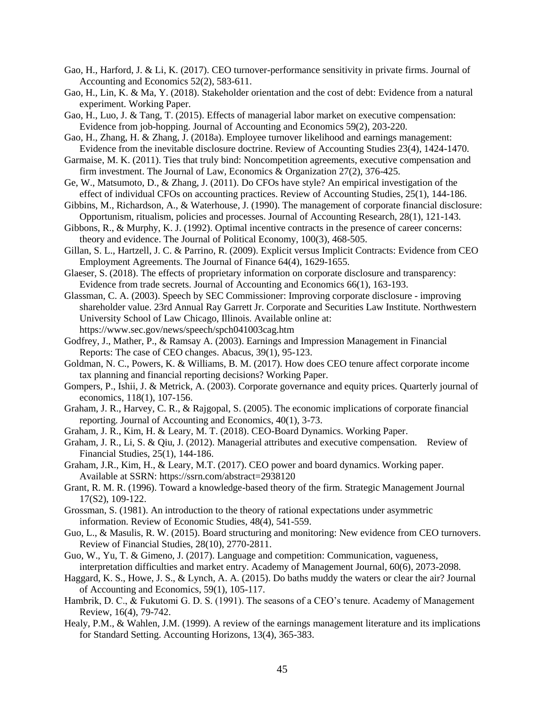- Gao, H., Harford, J. & Li, K. (2017). CEO turnover-performance sensitivity in private firms. Journal of Accounting and Economics 52(2), 583-611.
- Gao, H., Lin, K. & Ma, Y. (2018). Stakeholder orientation and the cost of debt: Evidence from a natural experiment. Working Paper.
- Gao, H., Luo, J. & Tang, T. (2015). Effects of managerial labor market on executive compensation: Evidence from job-hopping. Journal of Accounting and Economics 59(2), 203-220.
- Gao, H., Zhang, H. & Zhang, J. (2018a). Employee turnover likelihood and earnings management: Evidence from the inevitable disclosure doctrine. Review of Accounting Studies 23(4), 1424-1470.
- Garmaise, M. K. (2011). Ties that truly bind: Noncompetition agreements, executive compensation and firm investment. The Journal of Law, Economics & Organization 27(2), 376-425.
- Ge, W., Matsumoto, D., & Zhang, J. (2011). Do CFOs have style? An empirical investigation of the effect of individual CFOs on accounting practices. Review of Accounting Studies, 25(1), 144-186.
- Gibbins, M., Richardson, A., & Waterhouse, J. (1990). The management of corporate financial disclosure: Opportunism, ritualism, policies and processes. Journal of Accounting Research, 28(1), 121-143.
- Gibbons, R., & Murphy, K. J. (1992). Optimal incentive contracts in the presence of career concerns: theory and evidence. The Journal of Political Economy, 100(3), 468-505.
- Gillan, S. L., Hartzell, J. C. & Parrino, R. (2009). Explicit versus Implicit Contracts: Evidence from CEO Employment Agreements. The Journal of Finance 64(4), 1629-1655.
- Glaeser, S. (2018). The effects of proprietary information on corporate disclosure and transparency: Evidence from trade secrets. Journal of Accounting and Economics 66(1), 163-193.
- Glassman, C. A. (2003). Speech by SEC Commissioner: Improving corporate disclosure improving shareholder value. 23rd Annual Ray Garrett Jr. Corporate and Securities Law Institute. Northwestern University School of Law Chicago, Illinois. Available online at: <https://www.sec.gov/news/speech/spch041003cag.htm>
- Godfrey, J., Mather, P., & Ramsay A. (2003). Earnings and Impression Management in Financial Reports: The case of CEO changes. Abacus, 39(1), 95-123.
- Goldman, N. C., Powers, K. & Williams, B. M. (2017). How does CEO tenure affect corporate income tax planning and financial reporting decisions? Working Paper.
- Gompers, P., Ishii, J. & Metrick, A. (2003). Corporate governance and equity prices. Quarterly journal of economics, 118(1), 107-156.
- Graham, J. R., Harvey, C. R., & Rajgopal, S. (2005). The economic implications of corporate financial reporting. Journal of Accounting and Economics, 40(1), 3-73.
- Graham, J. R., Kim, H. & Leary, M. T. (2018). CEO-Board Dynamics. Working Paper.
- Graham, J. R., Li, S. & Qiu, J. (2012). Managerial attributes and executive compensation. Review of Financial Studies, 25(1), 144-186.
- Graham, J.R., Kim, H., & Leary, M.T. (2017). CEO power and board dynamics. Working paper. Available at SSRN:<https://ssrn.com/abstract=2938120>
- Grant, R. M. R. (1996). Toward a knowledge-based theory of the firm. Strategic Management Journal 17(S2), 109-122.
- Grossman, S. (1981). An introduction to the theory of rational expectations under asymmetric information. Review of Economic Studies, 48(4), 541-559.
- Guo, L., & Masulis, R. W. (2015). Board structuring and monitoring: New evidence from CEO turnovers. Review of Financial Studies, 28(10), 2770-2811.
- Guo, W., Yu, T. & Gimeno, J. (2017). Language and competition: Communication, vagueness, interpretation difficulties and market entry. Academy of Management Journal, 60(6), 2073-2098.
- Haggard, K. S., Howe, J. S., & Lynch, A. A. (2015). Do baths muddy the waters or clear the air? Journal of Accounting and Economics, 59(1), 105-117.
- Hambrik, D. C., & Fukutomi G. D. S. (1991). The seasons of a CEO's tenure. Academy of Management Review, 16(4), 79-742.
- Healy, P.M., & Wahlen, J.M. (1999). A review of the earnings management literature and its implications for Standard Setting. Accounting Horizons, 13(4), 365-383.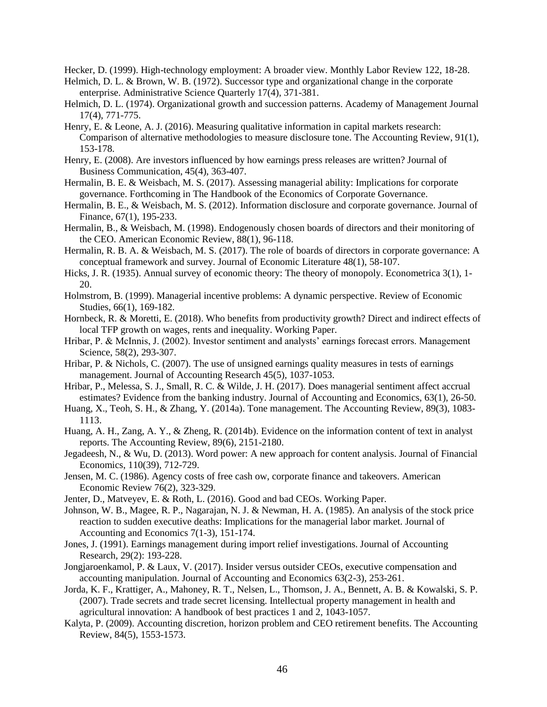Hecker, D. (1999). High-technology employment: A broader view. Monthly Labor Review 122, 18-28.

- Helmich, D. L. & Brown, W. B. (1972). Successor type and organizational change in the corporate enterprise. Administrative Science Quarterly 17(4), 371-381.
- Helmich, D. L. (1974). Organizational growth and succession patterns. Academy of Management Journal 17(4), 771-775.
- Henry, E. & Leone, A. J. (2016). Measuring qualitative information in capital markets research: Comparison of alternative methodologies to measure disclosure tone. The Accounting Review, 91(1), 153-178.
- Henry, E. (2008). Are investors influenced by how earnings press releases are written? Journal of Business Communication, 45(4), 363-407.
- Hermalin, B. E. & Weisbach, M. S. (2017). Assessing managerial ability: Implications for corporate governance. Forthcoming in The Handbook of the Economics of Corporate Governance.
- Hermalin, B. E., & Weisbach, M. S. (2012). Information disclosure and corporate governance. Journal of Finance, 67(1), 195-233.
- Hermalin, B., & Weisbach, M. (1998). Endogenously chosen boards of directors and their monitoring of the CEO. American Economic Review, 88(1), 96-118.
- Hermalin, R. B. A. & Weisbach, M. S. (2017). The role of boards of directors in corporate governance: A conceptual framework and survey. Journal of Economic Literature 48(1), 58-107.
- Hicks, J. R. (1935). Annual survey of economic theory: The theory of monopoly. Econometrica 3(1), 1- 20.
- Holmstrom, B. (1999). Managerial incentive problems: A dynamic perspective. Review of Economic Studies, 66(1), 169-182.
- Hornbeck, R. & Moretti, E. (2018). Who benefits from productivity growth? Direct and indirect effects of local TFP growth on wages, rents and inequality. Working Paper.
- Hribar, P. & McInnis, J. (2002). Investor sentiment and analysts' earnings forecast errors. Management Science, 58(2), 293-307.
- Hribar, P. & Nichols, C. (2007). The use of unsigned earnings quality measures in tests of earnings management. Journal of Accounting Research 45(5), 1037-1053.
- Hribar, P., Melessa, S. J., Small, R. C. & Wilde, J. H. (2017). Does managerial sentiment affect accrual estimates? Evidence from the banking industry. Journal of Accounting and Economics, 63(1), 26-50.
- Huang, X., Teoh, S. H., & Zhang, Y. (2014a). Tone management. The Accounting Review, 89(3), 1083- 1113.
- Huang, A. H., Zang, A. Y., & Zheng, R. (2014b). Evidence on the information content of text in analyst reports. The Accounting Review, 89(6), 2151-2180.
- Jegadeesh, N., & Wu, D. (2013). Word power: A new approach for content analysis. Journal of Financial Economics, 110(39), 712-729.
- Jensen, M. C. (1986). Agency costs of free cash ow, corporate finance and takeovers. American Economic Review 76(2), 323-329.
- Jenter, D., Matveyev, E. & Roth, L. (2016). Good and bad CEOs. Working Paper.
- Johnson, W. B., Magee, R. P., Nagarajan, N. J. & Newman, H. A. (1985). An analysis of the stock price reaction to sudden executive deaths: Implications for the managerial labor market. Journal of Accounting and Economics 7(1-3), 151-174.
- Jones, J. (1991). Earnings management during import relief investigations. Journal of Accounting Research, 29(2): 193-228.
- Jongjaroenkamol, P. & Laux, V. (2017). Insider versus outsider CEOs, executive compensation and accounting manipulation. Journal of Accounting and Economics 63(2-3), 253-261.
- Jorda, K. F., Krattiger, A., Mahoney, R. T., Nelsen, L., Thomson, J. A., Bennett, A. B. & Kowalski, S. P. (2007). Trade secrets and trade secret licensing. Intellectual property management in health and agricultural innovation: A handbook of best practices 1 and 2, 1043-1057.
- Kalyta, P. (2009). Accounting discretion, horizon problem and CEO retirement benefits. The Accounting Review, 84(5), 1553-1573.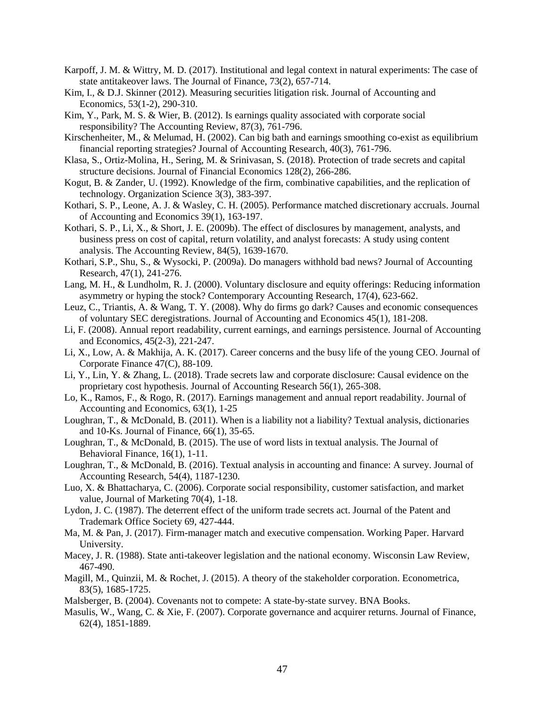- Karpoff, J. M. & Wittry, M. D. (2017). Institutional and legal context in natural experiments: The case of state antitakeover laws. The Journal of Finance, 73(2), 657-714.
- Kim, I., & D.J. Skinner (2012). Measuring securities litigation risk. Journal of Accounting and Economics, 53(1-2), 290-310.
- Kim, Y., Park, M. S. & Wier, B. (2012). Is earnings quality associated with corporate social responsibility? The Accounting Review, 87(3), 761-796.
- Kirschenheiter, M., & Melumad, H. (2002). Can big bath and earnings smoothing co-exist as equilibrium financial reporting strategies? Journal of Accounting Research, 40(3), 761-796.
- Klasa, S., Ortiz-Molina, H., Sering, M. & Srinivasan, S. (2018). Protection of trade secrets and capital structure decisions. Journal of Financial Economics 128(2), 266-286.
- Kogut, B. & Zander, U. (1992). Knowledge of the firm, combinative capabilities, and the replication of technology. Organization Science 3(3), 383-397.
- Kothari, S. P., Leone, A. J. & Wasley, C. H. (2005). Performance matched discretionary accruals. Journal of Accounting and Economics 39(1), 163-197.
- Kothari, S. P., Li, X., & Short, J. E. (2009b). The effect of disclosures by management, analysts, and business press on cost of capital, return volatility, and analyst forecasts: A study using content analysis. The Accounting Review, 84(5), 1639-1670.
- Kothari, S.P., Shu, S., & Wysocki, P. (2009a). Do managers withhold bad news? Journal of Accounting Research, 47(1), 241-276.
- Lang, M. H., & Lundholm, R. J. (2000). Voluntary disclosure and equity offerings: Reducing information asymmetry or hyping the stock? Contemporary Accounting Research, 17(4), 623-662.
- Leuz, C., Triantis, A. & Wang, T. Y. (2008). Why do firms go dark? Causes and economic consequences of voluntary SEC deregistrations. Journal of Accounting and Economics 45(1), 181-208.
- Li, F. (2008). Annual report readability, current earnings, and earnings persistence. Journal of Accounting and Economics, 45(2-3), 221-247.
- Li, X., Low, A. & Makhija, A. K. (2017). Career concerns and the busy life of the young CEO. Journal of Corporate Finance 47(C), 88-109.
- Li, Y., Lin, Y. & Zhang, L. (2018). Trade secrets law and corporate disclosure: Causal evidence on the proprietary cost hypothesis. Journal of Accounting Research 56(1), 265-308.
- Lo, K., Ramos, F., & Rogo, R. (2017). Earnings management and annual report readability. Journal of Accounting and Economics, 63(1), 1-25
- Loughran, T., & McDonald, B. (2011). When is a liability not a liability? Textual analysis, dictionaries and 10-Ks. Journal of Finance, 66(1), 35-65.
- Loughran, T., & McDonald, B. (2015). The use of word lists in textual analysis. The Journal of Behavioral Finance, 16(1), 1-11.
- Loughran, T., & McDonald, B. (2016). Textual analysis in accounting and finance: A survey. Journal of Accounting Research, 54(4), 1187-1230.
- Luo, X. & Bhattacharya, C. (2006). Corporate social responsibility, customer satisfaction, and market value, Journal of Marketing 70(4), 1-18.
- Lydon, J. C. (1987). The deterrent effect of the uniform trade secrets act. Journal of the Patent and Trademark Office Society 69, 427-444.
- Ma, M. & Pan, J. (2017). Firm-manager match and executive compensation. Working Paper. Harvard University.
- Macey, J. R. (1988). State anti-takeover legislation and the national economy. Wisconsin Law Review, 467-490.
- Magill, M., Quinzii, M. & Rochet, J. (2015). A theory of the stakeholder corporation. Econometrica, 83(5), 1685-1725.
- Malsberger, B. (2004). Covenants not to compete: A state-by-state survey. BNA Books.
- Masulis, W., Wang, C. & Xie, F. (2007). Corporate governance and acquirer returns. Journal of Finance, 62(4), 1851-1889.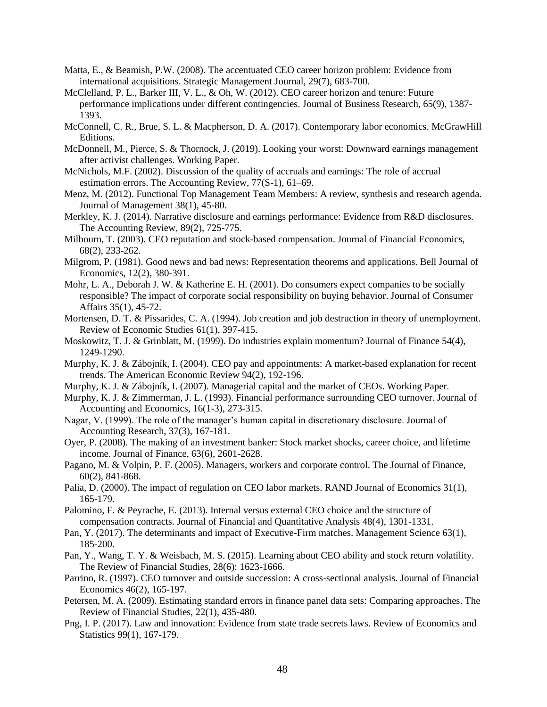- Matta, E., & Beamish, P.W. (2008). The accentuated CEO career horizon problem: Evidence from international acquisitions. Strategic Management Journal, 29(7), 683-700.
- McClelland, P. L., Barker III, V. L., & Oh, W. (2012). CEO career horizon and tenure: Future performance implications under different contingencies. Journal of Business Research, 65(9), 1387- 1393.
- McConnell, C. R., Brue, S. L. & Macpherson, D. A. (2017). Contemporary labor economics. McGrawHill Editions.
- McDonnell, M., Pierce, S. & Thornock, J. (2019). Looking your worst: Downward earnings management after activist challenges. Working Paper.
- McNichols, M.F. (2002). Discussion of the quality of accruals and earnings: The role of accrual estimation errors. The Accounting Review, 77(S-1), 61–69.
- Menz, M. (2012). Functional Top Management Team Members: A review, synthesis and research agenda. Journal of Management 38(1), 45-80.
- Merkley, K. J. (2014). Narrative disclosure and earnings performance: Evidence from R&D disclosures. The Accounting Review, 89(2), 725-775.
- Milbourn, T. (2003). CEO reputation and stock-based compensation. Journal of Financial Economics, 68(2), 233-262.
- Milgrom, P. (1981). Good news and bad news: Representation theorems and applications. Bell Journal of Economics, 12(2), 380-391.
- Mohr, L. A., Deborah J. W. & Katherine E. H. (2001). Do consumers expect companies to be socially responsible? The impact of corporate social responsibility on buying behavior. Journal of Consumer Affairs 35(1), 45-72.
- Mortensen, D. T. & Pissarides, C. A. (1994). Job creation and job destruction in theory of unemployment. Review of Economic Studies 61(1), 397-415.
- Moskowitz, T. J. & Grinblatt, M. (1999). Do industries explain momentum? Journal of Finance 54(4), 1249-1290.
- Murphy, K. J. & Zábojník, I. (2004). CEO pay and appointments: A market-based explanation for recent trends. The American Economic Review 94(2), 192-196.
- Murphy, K. J. & Zábojník, I. (2007). Managerial capital and the market of CEOs. Working Paper.
- Murphy, K. J. & Zimmerman, J. L. (1993). Financial performance surrounding CEO turnover. Journal of Accounting and Economics, 16(1-3), 273-315.
- Nagar, V. (1999). The role of the manager's human capital in discretionary disclosure. Journal of Accounting Research, 37(3), 167-181.
- Oyer, P. (2008). The making of an investment banker: Stock market shocks, career choice, and lifetime income. Journal of Finance, 63(6), 2601-2628.
- Pagano, M. & Volpin, P. F. (2005). Managers, workers and corporate control. The Journal of Finance, 60(2), 841-868.
- Palia, D. (2000). The impact of regulation on CEO labor markets. RAND Journal of Economics 31(1), 165-179.
- Palomino, F. & Peyrache, E. (2013). Internal versus external CEO choice and the structure of compensation contracts. Journal of Financial and Quantitative Analysis 48(4), 1301-1331.
- Pan, Y. (2017). The determinants and impact of Executive-Firm matches. Management Science 63(1), 185-200.
- Pan, Y., Wang, T. Y. & Weisbach, M. S. (2015). Learning about CEO ability and stock return volatility. The Review of Financial Studies, 28(6): 1623-1666.
- Parrino, R. (1997). CEO turnover and outside succession: A cross-sectional analysis. Journal of Financial Economics 46(2), 165-197.
- Petersen, M. A. (2009). Estimating standard errors in finance panel data sets: Comparing approaches. The Review of Financial Studies, 22(1), 435-480.
- Png, I. P. (2017). Law and innovation: Evidence from state trade secrets laws. Review of Economics and Statistics 99(1), 167-179.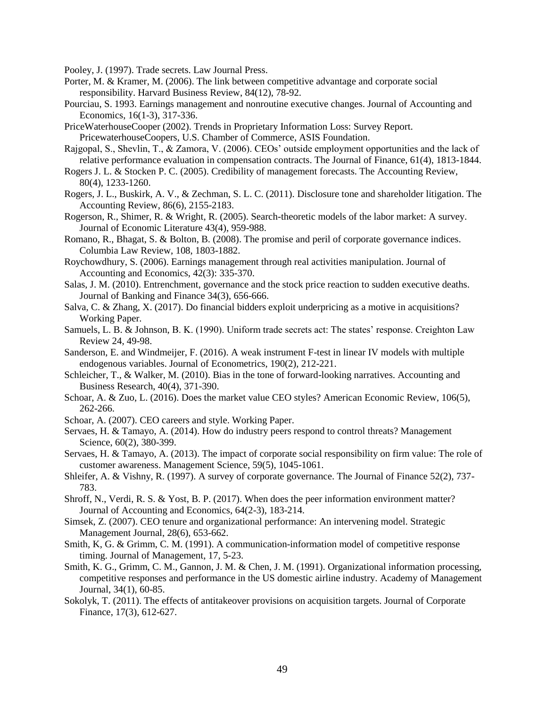Pooley, J. (1997). Trade secrets. Law Journal Press.

- Porter, M. & Kramer, M. (2006). The link between competitive advantage and corporate social responsibility. Harvard Business Review, 84(12), 78-92.
- Pourciau, S. 1993. Earnings management and nonroutine executive changes. Journal of Accounting and Economics, 16(1-3), 317-336.
- PriceWaterhouseCooper (2002). Trends in Proprietary Information Loss: Survey Report. PricewaterhouseCoopers, U.S. Chamber of Commerce, ASIS Foundation.
- Rajgopal, S., Shevlin, T., & Zamora, V. (2006). CEOs' outside employment opportunities and the lack of relative performance evaluation in compensation contracts. The Journal of Finance, 61(4), 1813-1844.
- Rogers J. L. & Stocken P. C. (2005). Credibility of management forecasts. The Accounting Review, 80(4), 1233-1260.
- Rogers, J. L., Buskirk, A. V., & Zechman, S. L. C. (2011). Disclosure tone and shareholder litigation. The Accounting Review, 86(6), 2155-2183.
- Rogerson, R., Shimer, R. & Wright, R. (2005). Search-theoretic models of the labor market: A survey. Journal of Economic Literature 43(4), 959-988.
- Romano, R., Bhagat, S. & Bolton, B. (2008). The promise and peril of corporate governance indices. Columbia Law Review, 108, 1803-1882.
- Roychowdhury, S. (2006). Earnings management through real activities manipulation. Journal of Accounting and Economics, 42(3): 335-370.
- Salas, J. M. (2010). Entrenchment, governance and the stock price reaction to sudden executive deaths. Journal of Banking and Finance 34(3), 656-666.
- Salva, C. & Zhang, X. (2017). Do financial bidders exploit underpricing as a motive in acquisitions? Working Paper.
- Samuels, L. B. & Johnson, B. K. (1990). Uniform trade secrets act: The states' response. Creighton Law Review 24, 49-98.
- Sanderson, E. and Windmeijer, F. (2016). A weak instrument F-test in linear IV models with multiple endogenous variables. Journal of Econometrics, 190(2), 212-221.
- Schleicher, T., & Walker, M. (2010). Bias in the tone of forward-looking narratives. Accounting and Business Research, 40(4), 371-390.
- Schoar, A. & Zuo, L. (2016). Does the market value CEO styles? American Economic Review, 106(5), 262-266.
- Schoar, A. (2007). CEO careers and style. Working Paper.
- Servaes, H. & Tamayo, A. (2014). How do industry peers respond to control threats? Management Science, 60(2), 380-399.
- Servaes, H. & Tamayo, A. (2013). The impact of corporate social responsibility on firm value: The role of customer awareness. Management Science, 59(5), 1045-1061.
- Shleifer, A. & Vishny, R. (1997). A survey of corporate governance. The Journal of Finance 52(2), 737- 783.
- Shroff, N., Verdi, R. S. & Yost, B. P. (2017). When does the peer information environment matter? Journal of Accounting and Economics, 64(2-3), 183-214.
- Simsek, Z. (2007). CEO tenure and organizational performance: An intervening model. Strategic Management Journal, 28(6), 653-662.
- Smith, K, G. & Grimm, C. M. (1991). A communication-information model of competitive response timing. Journal of Management, 17, 5-23.
- Smith, K. G., Grimm, C. M., Gannon, J. M. & Chen, J. M. (1991). Organizational information processing, competitive responses and performance in the US domestic airline industry. Academy of Management Journal, 34(1), 60-85.
- Sokolyk, T. (2011). The effects of antitakeover provisions on acquisition targets. Journal of Corporate Finance, 17(3), 612-627.